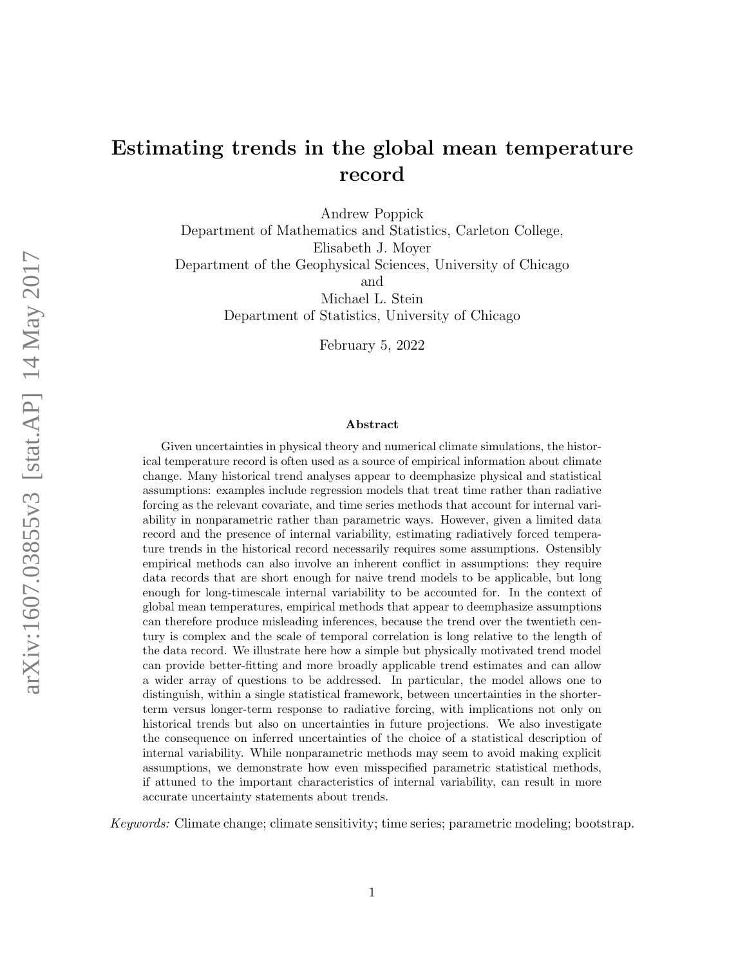# Estimating trends in the global mean temperature record

Andrew Poppick

Department of Mathematics and Statistics, Carleton College, Elisabeth J. Moyer Department of the Geophysical Sciences, University of Chicago and Michael L. Stein

Department of Statistics, University of Chicago

February 5, 2022

#### Abstract

Given uncertainties in physical theory and numerical climate simulations, the historical temperature record is often used as a source of empirical information about climate change. Many historical trend analyses appear to deemphasize physical and statistical assumptions: examples include regression models that treat time rather than radiative forcing as the relevant covariate, and time series methods that account for internal variability in nonparametric rather than parametric ways. However, given a limited data record and the presence of internal variability, estimating radiatively forced temperature trends in the historical record necessarily requires some assumptions. Ostensibly empirical methods can also involve an inherent conflict in assumptions: they require data records that are short enough for naive trend models to be applicable, but long enough for long-timescale internal variability to be accounted for. In the context of global mean temperatures, empirical methods that appear to deemphasize assumptions can therefore produce misleading inferences, because the trend over the twentieth century is complex and the scale of temporal correlation is long relative to the length of the data record. We illustrate here how a simple but physically motivated trend model can provide better-fitting and more broadly applicable trend estimates and can allow a wider array of questions to be addressed. In particular, the model allows one to distinguish, within a single statistical framework, between uncertainties in the shorterterm versus longer-term response to radiative forcing, with implications not only on historical trends but also on uncertainties in future projections. We also investigate the consequence on inferred uncertainties of the choice of a statistical description of internal variability. While nonparametric methods may seem to avoid making explicit assumptions, we demonstrate how even misspecified parametric statistical methods, if attuned to the important characteristics of internal variability, can result in more accurate uncertainty statements about trends.

Keywords: Climate change; climate sensitivity; time series; parametric modeling; bootstrap.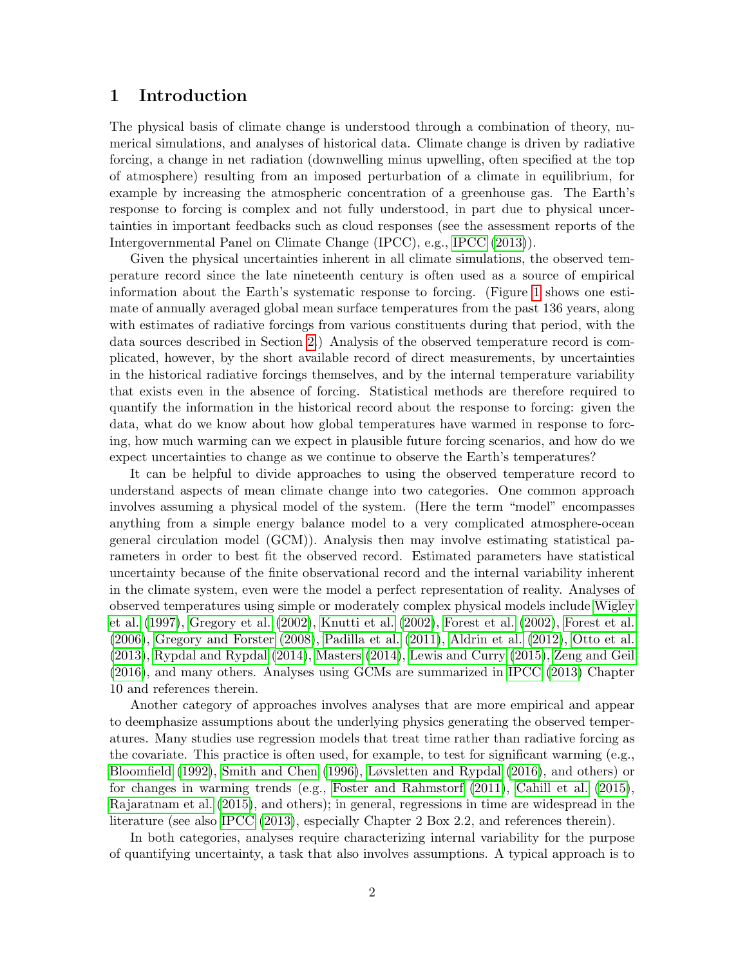### 1 Introduction

The physical basis of climate change is understood through a combination of theory, numerical simulations, and analyses of historical data. Climate change is driven by radiative forcing, a change in net radiation (downwelling minus upwelling, often specified at the top of atmosphere) resulting from an imposed perturbation of a climate in equilibrium, for example by increasing the atmospheric concentration of a greenhouse gas. The Earth's response to forcing is complex and not fully understood, in part due to physical uncertainties in important feedbacks such as cloud responses (see the assessment reports of the Intergovernmental Panel on Climate Change (IPCC), e.g., [IPCC](#page-34-0) [\(2013\)](#page-34-0)).

Given the physical uncertainties inherent in all climate simulations, the observed temperature record since the late nineteenth century is often used as a source of empirical information about the Earth's systematic response to forcing. (Figure [1](#page-2-0) shows one estimate of annually averaged global mean surface temperatures from the past 136 years, along with estimates of radiative forcings from various constituents during that period, with the data sources described in Section [2.](#page-4-0)) Analysis of the observed temperature record is complicated, however, by the short available record of direct measurements, by uncertainties in the historical radiative forcings themselves, and by the internal temperature variability that exists even in the absence of forcing. Statistical methods are therefore required to quantify the information in the historical record about the response to forcing: given the data, what do we know about how global temperatures have warmed in response to forcing, how much warming can we expect in plausible future forcing scenarios, and how do we expect uncertainties to change as we continue to observe the Earth's temperatures?

It can be helpful to divide approaches to using the observed temperature record to understand aspects of mean climate change into two categories. One common approach involves assuming a physical model of the system. (Here the term "model" encompasses anything from a simple energy balance model to a very complicated atmosphere-ocean general circulation model (GCM)). Analysis then may involve estimating statistical parameters in order to best fit the observed record. Estimated parameters have statistical uncertainty because of the finite observational record and the internal variability inherent in the climate system, even were the model a perfect representation of reality. Analyses of observed temperatures using simple or moderately complex physical models include [Wigley](#page-37-0) [et al.](#page-37-0) [\(1997\)](#page-37-0), [Gregory et al.](#page-34-1) [\(2002\)](#page-34-1), [Knutti et al.](#page-35-0) [\(2002\)](#page-35-0), [Forest et al.](#page-33-0) [\(2002\)](#page-33-0), [Forest et al.](#page-33-1) [\(2006\)](#page-33-1), [Gregory and Forster](#page-34-2) [\(2008\)](#page-34-2), [Padilla et al.](#page-36-0) [\(2011\)](#page-36-0), [Aldrin et al.](#page-32-0) [\(2012\)](#page-32-0), [Otto et al.](#page-36-1) [\(2013\)](#page-36-1), [Rypdal and Rypdal](#page-36-2) [\(2014\)](#page-36-2), [Masters](#page-35-1) [\(2014\)](#page-35-1), [Lewis and Curry](#page-35-2) [\(2015\)](#page-35-2), [Zeng and Geil](#page-37-1) [\(2016\)](#page-37-1), and many others. Analyses using GCMs are summarized in [IPCC](#page-34-0) [\(2013\)](#page-34-0) Chapter 10 and references therein.

Another category of approaches involves analyses that are more empirical and appear to deemphasize assumptions about the underlying physics generating the observed temperatures. Many studies use regression models that treat time rather than radiative forcing as the covariate. This practice is often used, for example, to test for significant warming (e.g., [Bloomfield](#page-33-2) [\(1992\)](#page-33-2), [Smith and Chen](#page-36-3) [\(1996\)](#page-36-3), [Løvsletten and Rypdal](#page-35-3) [\(2016\)](#page-35-3), and others) or for changes in warming trends (e.g., [Foster and Rahmstorf](#page-33-3) [\(2011\)](#page-33-3), [Cahill et al.](#page-33-4) [\(2015\)](#page-33-4), [Rajaratnam et al.](#page-36-4) [\(2015\)](#page-36-4), and others); in general, regressions in time are widespread in the literature (see also [IPCC](#page-34-0) [\(2013\)](#page-34-0), especially Chapter 2 Box 2.2, and references therein).

In both categories, analyses require characterizing internal variability for the purpose of quantifying uncertainty, a task that also involves assumptions. A typical approach is to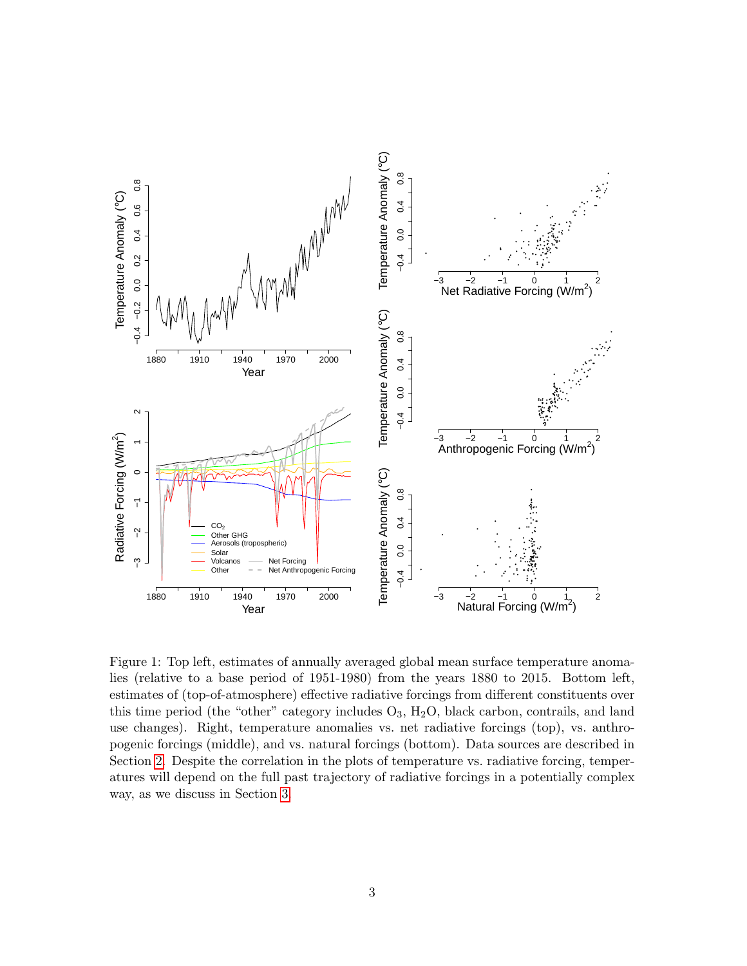

<span id="page-2-0"></span>Figure 1: Top left, estimates of annually averaged global mean surface temperature anomalies (relative to a base period of 1951-1980) from the years 1880 to 2015. Bottom left, estimates of (top-of-atmosphere) effective radiative forcings from different constituents over this time period (the "other" category includes  $O_3$ ,  $H_2O$ , black carbon, contrails, and land use changes). Right, temperature anomalies vs. net radiative forcings (top), vs. anthropogenic forcings (middle), and vs. natural forcings (bottom). Data sources are described in Section [2.](#page-4-0) Despite the correlation in the plots of temperature vs. radiative forcing, temperatures will depend on the full past trajectory of radiative forcings in a potentially complex way, as we discuss in Section [3.](#page-5-0)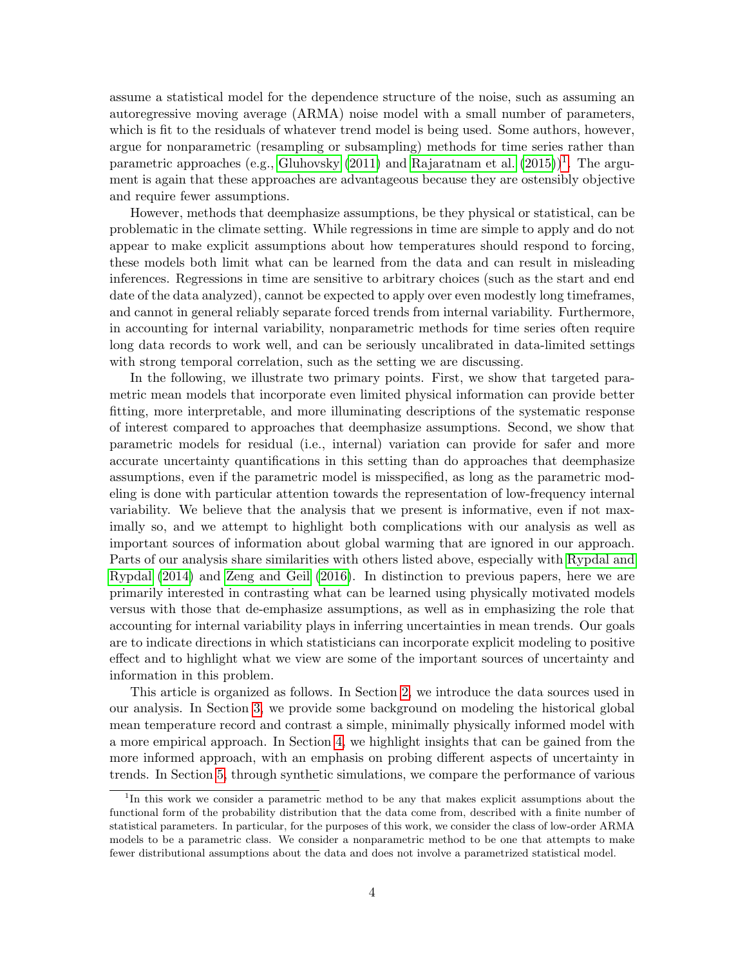assume a statistical model for the dependence structure of the noise, such as assuming an autoregressive moving average (ARMA) noise model with a small number of parameters, which is fit to the residuals of whatever trend model is being used. Some authors, however, argue for nonparametric (resampling or subsampling) methods for time series rather than parametric approaches (e.g., [Gluhovsky](#page-34-3)  $(2011)$  and [Rajaratnam et al.](#page-36-4)  $(2015)^{1}$  $(2015)^{1}$  $(2015)^{1}$  $(2015)^{1}$ . The argument is again that these approaches are advantageous because they are ostensibly objective and require fewer assumptions.

However, methods that deemphasize assumptions, be they physical or statistical, can be problematic in the climate setting. While regressions in time are simple to apply and do not appear to make explicit assumptions about how temperatures should respond to forcing, these models both limit what can be learned from the data and can result in misleading inferences. Regressions in time are sensitive to arbitrary choices (such as the start and end date of the data analyzed), cannot be expected to apply over even modestly long timeframes, and cannot in general reliably separate forced trends from internal variability. Furthermore, in accounting for internal variability, nonparametric methods for time series often require long data records to work well, and can be seriously uncalibrated in data-limited settings with strong temporal correlation, such as the setting we are discussing.

In the following, we illustrate two primary points. First, we show that targeted parametric mean models that incorporate even limited physical information can provide better fitting, more interpretable, and more illuminating descriptions of the systematic response of interest compared to approaches that deemphasize assumptions. Second, we show that parametric models for residual (i.e., internal) variation can provide for safer and more accurate uncertainty quantifications in this setting than do approaches that deemphasize assumptions, even if the parametric model is misspecified, as long as the parametric modeling is done with particular attention towards the representation of low-frequency internal variability. We believe that the analysis that we present is informative, even if not maximally so, and we attempt to highlight both complications with our analysis as well as important sources of information about global warming that are ignored in our approach. Parts of our analysis share similarities with others listed above, especially with [Rypdal and](#page-36-2) [Rypdal](#page-36-2) [\(2014\)](#page-36-2) and [Zeng and Geil](#page-37-1) [\(2016\)](#page-37-1). In distinction to previous papers, here we are primarily interested in contrasting what can be learned using physically motivated models versus with those that de-emphasize assumptions, as well as in emphasizing the role that accounting for internal variability plays in inferring uncertainties in mean trends. Our goals are to indicate directions in which statisticians can incorporate explicit modeling to positive effect and to highlight what we view are some of the important sources of uncertainty and information in this problem.

This article is organized as follows. In Section [2,](#page-4-0) we introduce the data sources used in our analysis. In Section [3,](#page-5-0) we provide some background on modeling the historical global mean temperature record and contrast a simple, minimally physically informed model with a more empirical approach. In Section [4,](#page-9-0) we highlight insights that can be gained from the more informed approach, with an emphasis on probing different aspects of uncertainty in trends. In Section [5,](#page-19-0) through synthetic simulations, we compare the performance of various

<span id="page-3-0"></span><sup>&</sup>lt;sup>1</sup>In this work we consider a parametric method to be any that makes explicit assumptions about the functional form of the probability distribution that the data come from, described with a finite number of statistical parameters. In particular, for the purposes of this work, we consider the class of low-order ARMA models to be a parametric class. We consider a nonparametric method to be one that attempts to make fewer distributional assumptions about the data and does not involve a parametrized statistical model.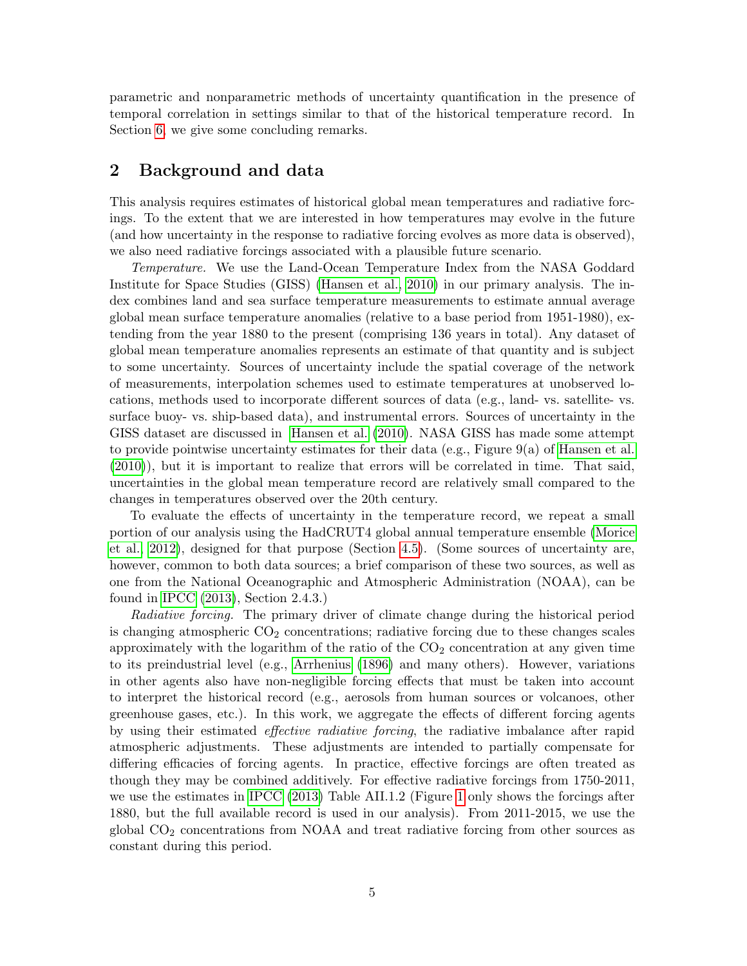parametric and nonparametric methods of uncertainty quantification in the presence of temporal correlation in settings similar to that of the historical temperature record. In Section [6,](#page-23-0) we give some concluding remarks.

### <span id="page-4-0"></span>2 Background and data

This analysis requires estimates of historical global mean temperatures and radiative forcings. To the extent that we are interested in how temperatures may evolve in the future (and how uncertainty in the response to radiative forcing evolves as more data is observed), we also need radiative forcings associated with a plausible future scenario.

Temperature. We use the Land-Ocean Temperature Index from the NASA Goddard Institute for Space Studies (GISS) [\(Hansen et al., 2010\)](#page-34-4) in our primary analysis. The index combines land and sea surface temperature measurements to estimate annual average global mean surface temperature anomalies (relative to a base period from 1951-1980), extending from the year 1880 to the present (comprising 136 years in total). Any dataset of global mean temperature anomalies represents an estimate of that quantity and is subject to some uncertainty. Sources of uncertainty include the spatial coverage of the network of measurements, interpolation schemes used to estimate temperatures at unobserved locations, methods used to incorporate different sources of data (e.g., land- vs. satellite- vs. surface buoy- vs. ship-based data), and instrumental errors. Sources of uncertainty in the GISS dataset are discussed in [Hansen et al.](#page-34-4) [\(2010\)](#page-34-4). NASA GISS has made some attempt to provide pointwise uncertainty estimates for their data (e.g., Figure 9(a) of [Hansen et al.](#page-34-4) [\(2010\)](#page-34-4)), but it is important to realize that errors will be correlated in time. That said, uncertainties in the global mean temperature record are relatively small compared to the changes in temperatures observed over the 20th century.

To evaluate the effects of uncertainty in the temperature record, we repeat a small portion of our analysis using the HadCRUT4 global annual temperature ensemble [\(Morice](#page-35-4) [et al., 2012\)](#page-35-4), designed for that purpose (Section [4.5\)](#page-17-0). (Some sources of uncertainty are, however, common to both data sources; a brief comparison of these two sources, as well as one from the National Oceanographic and Atmospheric Administration (NOAA), can be found in [IPCC](#page-34-0) [\(2013\)](#page-34-0), Section 2.4.3.)

Radiative forcing. The primary driver of climate change during the historical period is changing atmospheric  $CO<sub>2</sub>$  concentrations; radiative forcing due to these changes scales approximately with the logarithm of the ratio of the  $CO<sub>2</sub>$  concentration at any given time to its preindustrial level (e.g., [Arrhenius](#page-33-5) [\(1896\)](#page-33-5) and many others). However, variations in other agents also have non-negligible forcing effects that must be taken into account to interpret the historical record (e.g., aerosols from human sources or volcanoes, other greenhouse gases, etc.). In this work, we aggregate the effects of different forcing agents by using their estimated effective radiative forcing, the radiative imbalance after rapid atmospheric adjustments. These adjustments are intended to partially compensate for differing efficacies of forcing agents. In practice, effective forcings are often treated as though they may be combined additively. For effective radiative forcings from 1750-2011, we use the estimates in [IPCC](#page-34-0) [\(2013\)](#page-34-0) Table AII.1.2 (Figure [1](#page-2-0) only shows the forcings after 1880, but the full available record is used in our analysis). From 2011-2015, we use the global CO<sup>2</sup> concentrations from NOAA and treat radiative forcing from other sources as constant during this period.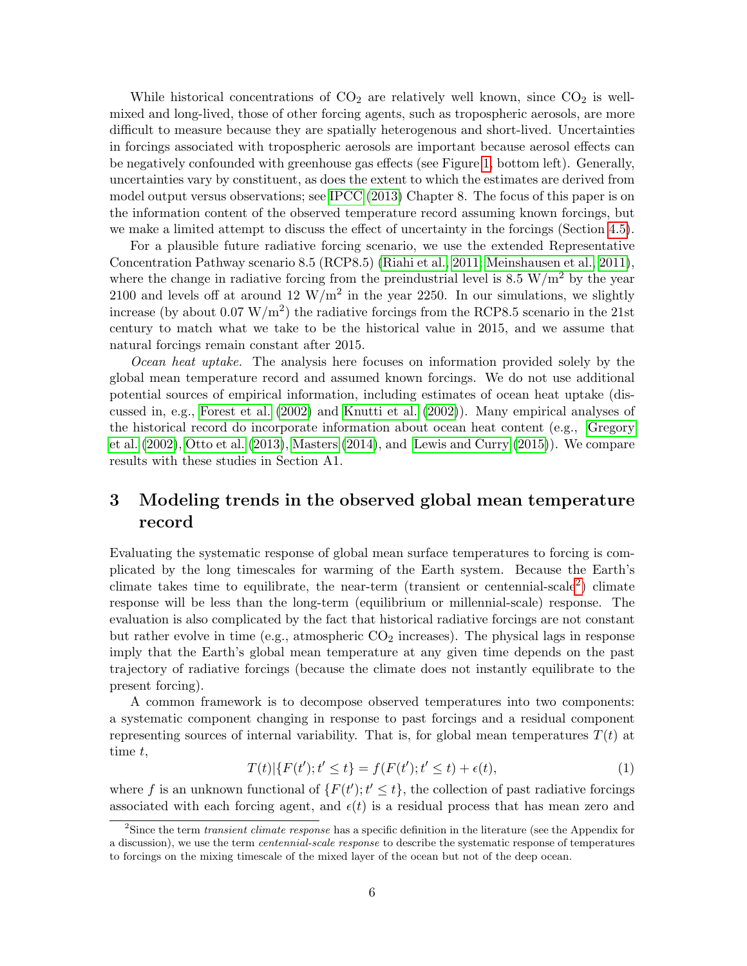While historical concentrations of  $CO<sub>2</sub>$  are relatively well known, since  $CO<sub>2</sub>$  is wellmixed and long-lived, those of other forcing agents, such as tropospheric aerosols, are more difficult to measure because they are spatially heterogenous and short-lived. Uncertainties in forcings associated with tropospheric aerosols are important because aerosol effects can be negatively confounded with greenhouse gas effects (see Figure [1,](#page-2-0) bottom left). Generally, uncertainties vary by constituent, as does the extent to which the estimates are derived from model output versus observations; see [IPCC](#page-34-0) [\(2013\)](#page-34-0) Chapter 8. The focus of this paper is on the information content of the observed temperature record assuming known forcings, but we make a limited attempt to discuss the effect of uncertainty in the forcings (Section [4.5\)](#page-17-0).

For a plausible future radiative forcing scenario, we use the extended Representative Concentration Pathway scenario 8.5 (RCP8.5) [\(Riahi et al., 2011;](#page-36-5) [Meinshausen et al., 2011\)](#page-35-5), where the change in radiative forcing from the preindustrial level is 8.5 W/m<sup>2</sup> by the year 2100 and levels off at around 12  $\rm W/m^2$  in the year 2250. In our simulations, we slightly increase (by about  $0.07 \text{ W/m}^2$ ) the radiative forcings from the RCP8.5 scenario in the 21st century to match what we take to be the historical value in 2015, and we assume that natural forcings remain constant after 2015.

Ocean heat uptake. The analysis here focuses on information provided solely by the global mean temperature record and assumed known forcings. We do not use additional potential sources of empirical information, including estimates of ocean heat uptake (discussed in, e.g., [Forest et al.](#page-33-0) [\(2002\)](#page-33-0) and [Knutti et al.](#page-35-0) [\(2002\)](#page-35-0)). Many empirical analyses of the historical record do incorporate information about ocean heat content (e.g., [Gregory](#page-34-1) [et al.](#page-34-1) [\(2002\)](#page-34-1), [Otto et al.](#page-36-1) [\(2013\)](#page-36-1), [Masters](#page-35-1) [\(2014\)](#page-35-1), and [Lewis and Curry](#page-35-2) [\(2015\)](#page-35-2)). We compare results with these studies in Section A1.

## <span id="page-5-0"></span>3 Modeling trends in the observed global mean temperature record

Evaluating the systematic response of global mean surface temperatures to forcing is complicated by the long timescales for warming of the Earth system. Because the Earth's climate takes time to equilibrate, the near-term (transient or centennial-scale[2](#page-5-1) ) climate response will be less than the long-term (equilibrium or millennial-scale) response. The evaluation is also complicated by the fact that historical radiative forcings are not constant but rather evolve in time (e.g., atmospheric  $CO<sub>2</sub>$  increases). The physical lags in response imply that the Earth's global mean temperature at any given time depends on the past trajectory of radiative forcings (because the climate does not instantly equilibrate to the present forcing).

A common framework is to decompose observed temperatures into two components: a systematic component changing in response to past forcings and a residual component representing sources of internal variability. That is, for global mean temperatures  $T(t)$  at time t,

<span id="page-5-2"></span>
$$
T(t)|\{F(t'); t' \le t\} = f(F(t'); t' \le t) + \epsilon(t),\tag{1}
$$

where f is an unknown functional of  $\{F(t'); t' \leq t\}$ , the collection of past radiative forcings associated with each forcing agent, and  $\epsilon(t)$  is a residual process that has mean zero and

<span id="page-5-1"></span><sup>&</sup>lt;sup>2</sup>Since the term *transient climate response* has a specific definition in the literature (see the Appendix for a discussion), we use the term *centennial-scale response* to describe the systematic response of temperatures to forcings on the mixing timescale of the mixed layer of the ocean but not of the deep ocean.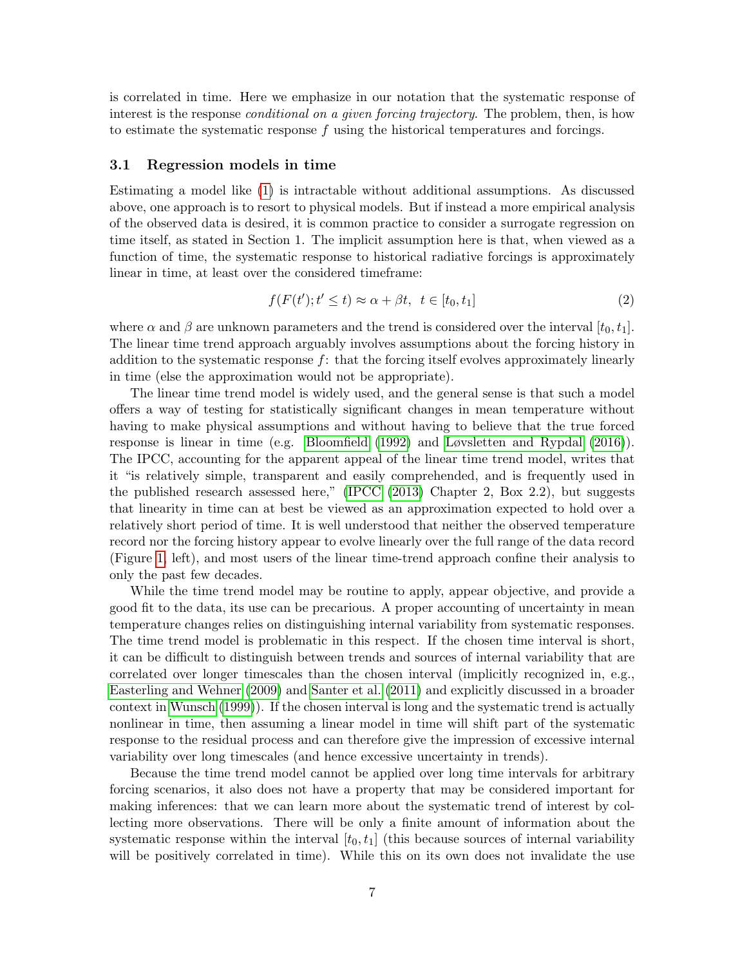is correlated in time. Here we emphasize in our notation that the systematic response of interest is the response *conditional on a given forcing trajectory*. The problem, then, is how to estimate the systematic response f using the historical temperatures and forcings.

#### 3.1 Regression models in time

Estimating a model like [\(1\)](#page-5-2) is intractable without additional assumptions. As discussed above, one approach is to resort to physical models. But if instead a more empirical analysis of the observed data is desired, it is common practice to consider a surrogate regression on time itself, as stated in Section 1. The implicit assumption here is that, when viewed as a function of time, the systematic response to historical radiative forcings is approximately linear in time, at least over the considered timeframe:

<span id="page-6-0"></span>
$$
f(F(t'); t' \le t) \approx \alpha + \beta t, \ t \in [t_0, t_1]
$$
\n<sup>(2)</sup>

where  $\alpha$  and  $\beta$  are unknown parameters and the trend is considered over the interval  $[t_0, t_1]$ . The linear time trend approach arguably involves assumptions about the forcing history in addition to the systematic response  $f$ : that the forcing itself evolves approximately linearly in time (else the approximation would not be appropriate).

The linear time trend model is widely used, and the general sense is that such a model offers a way of testing for statistically significant changes in mean temperature without having to make physical assumptions and without having to believe that the true forced response is linear in time (e.g. [Bloomfield](#page-33-2) [\(1992\)](#page-33-2) and [Løvsletten and Rypdal](#page-35-3) [\(2016\)](#page-35-3)). The IPCC, accounting for the apparent appeal of the linear time trend model, writes that it "is relatively simple, transparent and easily comprehended, and is frequently used in the published research assessed here," [\(IPCC](#page-34-0) [\(2013\)](#page-34-0) Chapter 2, Box 2.2), but suggests that linearity in time can at best be viewed as an approximation expected to hold over a relatively short period of time. It is well understood that neither the observed temperature record nor the forcing history appear to evolve linearly over the full range of the data record (Figure [1,](#page-2-0) left), and most users of the linear time-trend approach confine their analysis to only the past few decades.

While the time trend model may be routine to apply, appear objective, and provide a good fit to the data, its use can be precarious. A proper accounting of uncertainty in mean temperature changes relies on distinguishing internal variability from systematic responses. The time trend model is problematic in this respect. If the chosen time interval is short, it can be difficult to distinguish between trends and sources of internal variability that are correlated over longer timescales than the chosen interval (implicitly recognized in, e.g., [Easterling and Wehner](#page-33-6) [\(2009\)](#page-33-6) and [Santer et al.](#page-36-6) [\(2011\)](#page-36-6) and explicitly discussed in a broader context in [Wunsch](#page-37-2) [\(1999\)](#page-37-2)). If the chosen interval is long and the systematic trend is actually nonlinear in time, then assuming a linear model in time will shift part of the systematic response to the residual process and can therefore give the impression of excessive internal variability over long timescales (and hence excessive uncertainty in trends).

Because the time trend model cannot be applied over long time intervals for arbitrary forcing scenarios, it also does not have a property that may be considered important for making inferences: that we can learn more about the systematic trend of interest by collecting more observations. There will be only a finite amount of information about the systematic response within the interval  $[t_0, t_1]$  (this because sources of internal variability will be positively correlated in time). While this on its own does not invalidate the use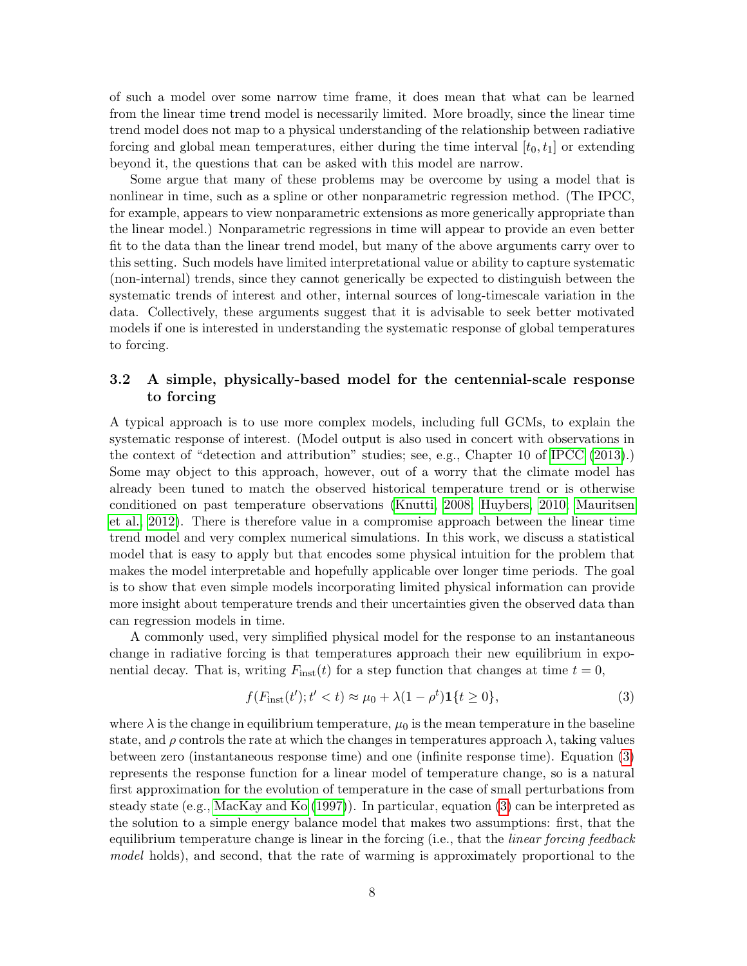of such a model over some narrow time frame, it does mean that what can be learned from the linear time trend model is necessarily limited. More broadly, since the linear time trend model does not map to a physical understanding of the relationship between radiative forcing and global mean temperatures, either during the time interval  $[t_0, t_1]$  or extending beyond it, the questions that can be asked with this model are narrow.

Some argue that many of these problems may be overcome by using a model that is nonlinear in time, such as a spline or other nonparametric regression method. (The IPCC, for example, appears to view nonparametric extensions as more generically appropriate than the linear model.) Nonparametric regressions in time will appear to provide an even better fit to the data than the linear trend model, but many of the above arguments carry over to this setting. Such models have limited interpretational value or ability to capture systematic (non-internal) trends, since they cannot generically be expected to distinguish between the systematic trends of interest and other, internal sources of long-timescale variation in the data. Collectively, these arguments suggest that it is advisable to seek better motivated models if one is interested in understanding the systematic response of global temperatures to forcing.

#### 3.2 A simple, physically-based model for the centennial-scale response to forcing

A typical approach is to use more complex models, including full GCMs, to explain the systematic response of interest. (Model output is also used in concert with observations in the context of "detection and attribution" studies; see, e.g., Chapter 10 of [IPCC](#page-34-0) [\(2013\)](#page-34-0).) Some may object to this approach, however, out of a worry that the climate model has already been tuned to match the observed historical temperature trend or is otherwise conditioned on past temperature observations [\(Knutti, 2008;](#page-35-6) [Huybers, 2010;](#page-34-5) [Mauritsen](#page-35-7) [et al., 2012\)](#page-35-7). There is therefore value in a compromise approach between the linear time trend model and very complex numerical simulations. In this work, we discuss a statistical model that is easy to apply but that encodes some physical intuition for the problem that makes the model interpretable and hopefully applicable over longer time periods. The goal is to show that even simple models incorporating limited physical information can provide more insight about temperature trends and their uncertainties given the observed data than can regression models in time.

A commonly used, very simplified physical model for the response to an instantaneous change in radiative forcing is that temperatures approach their new equilibrium in exponential decay. That is, writing  $F_{inst}(t)$  for a step function that changes at time  $t = 0$ ,

<span id="page-7-0"></span>
$$
f(F_{\text{inst}}(t'); t' < t) \approx \mu_0 + \lambda (1 - \rho^t) \mathbf{1} \{ t \ge 0 \},\tag{3}
$$

where  $\lambda$  is the change in equilibrium temperature,  $\mu_0$  is the mean temperature in the baseline state, and  $\rho$  controls the rate at which the changes in temperatures approach  $\lambda$ , taking values between zero (instantaneous response time) and one (infinite response time). Equation [\(3\)](#page-7-0) represents the response function for a linear model of temperature change, so is a natural first approximation for the evolution of temperature in the case of small perturbations from steady state (e.g., [MacKay and Ko](#page-35-8) [\(1997\)](#page-35-8)). In particular, equation [\(3\)](#page-7-0) can be interpreted as the solution to a simple energy balance model that makes two assumptions: first, that the equilibrium temperature change is linear in the forcing (i.e., that the *linear forcing feedback* model holds), and second, that the rate of warming is approximately proportional to the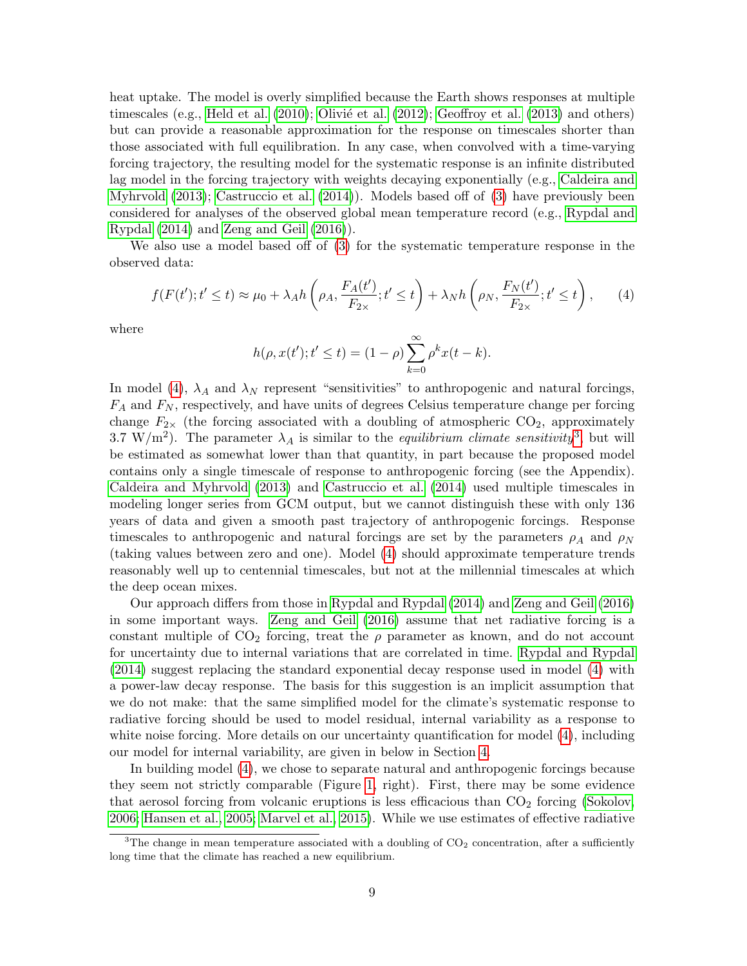heat uptake. The model is overly simplified because the Earth shows responses at multiple timescales (e.g., [Held et al.](#page-34-6)  $(2010)$ ; Olivié et al.  $(2012)$ ; [Geoffroy et al.](#page-34-7)  $(2013)$  and others) but can provide a reasonable approximation for the response on timescales shorter than those associated with full equilibration. In any case, when convolved with a time-varying forcing trajectory, the resulting model for the systematic response is an infinite distributed lag model in the forcing trajectory with weights decaying exponentially (e.g., [Caldeira and](#page-33-7) [Myhrvold](#page-33-7) [\(2013\)](#page-33-7); [Castruccio et al.](#page-33-8) [\(2014\)](#page-33-8)). Models based off of [\(3\)](#page-7-0) have previously been considered for analyses of the observed global mean temperature record (e.g., [Rypdal and](#page-36-2) [Rypdal](#page-36-2) [\(2014\)](#page-36-2) and [Zeng and Geil](#page-37-1) [\(2016\)](#page-37-1)).

We also use a model based off of [\(3\)](#page-7-0) for the systematic temperature response in the observed data:

<span id="page-8-0"></span>
$$
f(F(t');t' \le t) \approx \mu_0 + \lambda_A h\left(\rho_A, \frac{F_A(t')}{F_{2\times}}; t' \le t\right) + \lambda_N h\left(\rho_N, \frac{F_N(t')}{F_{2\times}}; t' \le t\right),\tag{4}
$$

where

$$
h(\rho, x(t'); t' \le t) = (1 - \rho) \sum_{k=0}^{\infty} \rho^k x(t - k).
$$

In model [\(4\)](#page-8-0),  $\lambda_A$  and  $\lambda_N$  represent "sensitivities" to anthropogenic and natural forcings,  $F_A$  and  $F_N$ , respectively, and have units of degrees Celsius temperature change per forcing change  $F_{2\times}$  (the forcing associated with a doubling of atmospheric CO<sub>2</sub>, approximately [3](#page-8-1).7 W/m<sup>2</sup>). The parameter  $\lambda_A$  is similar to the *equilibrium climate sensitivity*<sup>3</sup>, but will be estimated as somewhat lower than that quantity, in part because the proposed model contains only a single timescale of response to anthropogenic forcing (see the Appendix). [Caldeira and Myhrvold](#page-33-7) [\(2013\)](#page-33-7) and [Castruccio et al.](#page-33-8) [\(2014\)](#page-33-8) used multiple timescales in modeling longer series from GCM output, but we cannot distinguish these with only 136 years of data and given a smooth past trajectory of anthropogenic forcings. Response timescales to anthropogenic and natural forcings are set by the parameters  $\rho_A$  and  $\rho_N$ (taking values between zero and one). Model [\(4\)](#page-8-0) should approximate temperature trends reasonably well up to centennial timescales, but not at the millennial timescales at which the deep ocean mixes.

Our approach differs from those in [Rypdal and Rypdal](#page-36-2) [\(2014\)](#page-36-2) and [Zeng and Geil](#page-37-1) [\(2016\)](#page-37-1) in some important ways. [Zeng and Geil](#page-37-1) [\(2016\)](#page-37-1) assume that net radiative forcing is a constant multiple of  $CO<sub>2</sub>$  forcing, treat the  $\rho$  parameter as known, and do not account for uncertainty due to internal variations that are correlated in time. [Rypdal and Rypdal](#page-36-2) [\(2014\)](#page-36-2) suggest replacing the standard exponential decay response used in model [\(4\)](#page-8-0) with a power-law decay response. The basis for this suggestion is an implicit assumption that we do not make: that the same simplified model for the climate's systematic response to radiative forcing should be used to model residual, internal variability as a response to white noise forcing. More details on our uncertainty quantification for model  $(4)$ , including our model for internal variability, are given in below in Section [4.](#page-9-0)

In building model [\(4\)](#page-8-0), we chose to separate natural and anthropogenic forcings because they seem not strictly comparable (Figure [1,](#page-2-0) right). First, there may be some evidence that aerosol forcing from volcanic eruptions is less efficacious than  $CO<sub>2</sub>$  forcing [\(Sokolov,](#page-37-3) [2006;](#page-37-3) [Hansen et al., 2005;](#page-34-8) [Marvel et al., 2015\)](#page-35-9). While we use estimates of effective radiative

<span id="page-8-1"></span><sup>&</sup>lt;sup>3</sup>The change in mean temperature associated with a doubling of  $CO<sub>2</sub>$  concentration, after a sufficiently long time that the climate has reached a new equilibrium.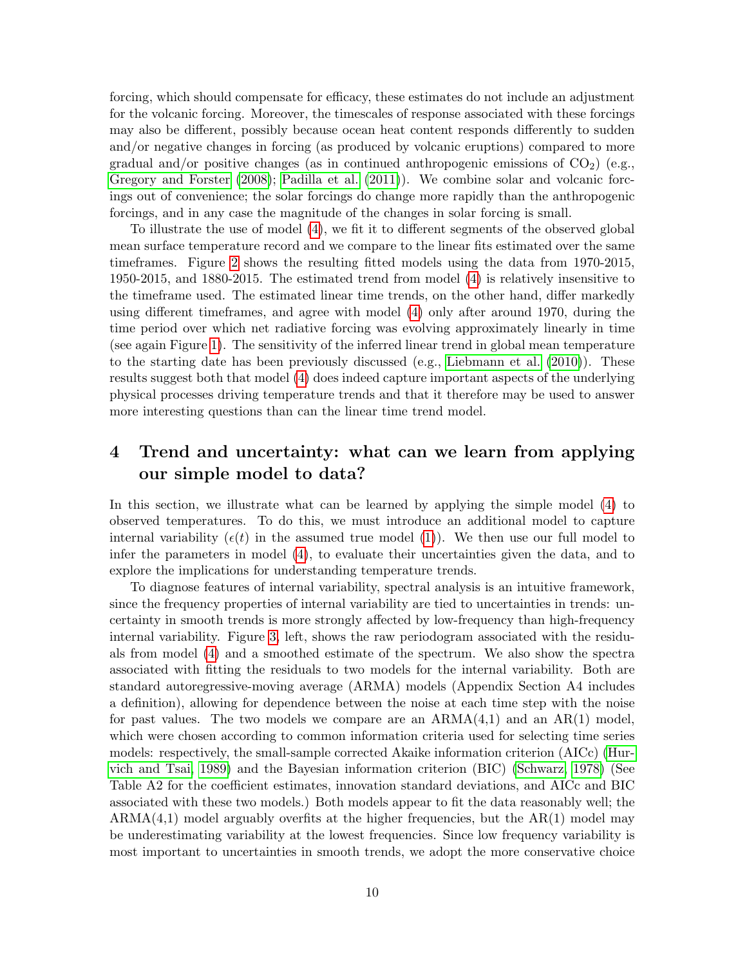forcing, which should compensate for efficacy, these estimates do not include an adjustment for the volcanic forcing. Moreover, the timescales of response associated with these forcings may also be different, possibly because ocean heat content responds differently to sudden and/or negative changes in forcing (as produced by volcanic eruptions) compared to more gradual and/or positive changes (as in continued anthropogenic emissions of  $CO<sub>2</sub>$ ) (e.g., [Gregory and Forster](#page-34-2) [\(2008\)](#page-34-2); [Padilla et al.](#page-36-0) [\(2011\)](#page-36-0)). We combine solar and volcanic forcings out of convenience; the solar forcings do change more rapidly than the anthropogenic forcings, and in any case the magnitude of the changes in solar forcing is small.

To illustrate the use of model [\(4\)](#page-8-0), we fit it to different segments of the observed global mean surface temperature record and we compare to the linear fits estimated over the same timeframes. Figure [2](#page-10-0) shows the resulting fitted models using the data from 1970-2015, 1950-2015, and 1880-2015. The estimated trend from model [\(4\)](#page-8-0) is relatively insensitive to the timeframe used. The estimated linear time trends, on the other hand, differ markedly using different timeframes, and agree with model [\(4\)](#page-8-0) only after around 1970, during the time period over which net radiative forcing was evolving approximately linearly in time (see again Figure [1\)](#page-2-0). The sensitivity of the inferred linear trend in global mean temperature to the starting date has been previously discussed (e.g., [Liebmann et al.](#page-35-10) [\(2010\)](#page-35-10)). These results suggest both that model [\(4\)](#page-8-0) does indeed capture important aspects of the underlying physical processes driving temperature trends and that it therefore may be used to answer more interesting questions than can the linear time trend model.

## <span id="page-9-0"></span>4 Trend and uncertainty: what can we learn from applying our simple model to data?

In this section, we illustrate what can be learned by applying the simple model [\(4\)](#page-8-0) to observed temperatures. To do this, we must introduce an additional model to capture internal variability ( $\epsilon(t)$  in the assumed true model [\(1\)](#page-5-2)). We then use our full model to infer the parameters in model [\(4\)](#page-8-0), to evaluate their uncertainties given the data, and to explore the implications for understanding temperature trends.

To diagnose features of internal variability, spectral analysis is an intuitive framework, since the frequency properties of internal variability are tied to uncertainties in trends: uncertainty in smooth trends is more strongly affected by low-frequency than high-frequency internal variability. Figure [3,](#page-11-0) left, shows the raw periodogram associated with the residuals from model [\(4\)](#page-8-0) and a smoothed estimate of the spectrum. We also show the spectra associated with fitting the residuals to two models for the internal variability. Both are standard autoregressive-moving average (ARMA) models (Appendix Section A4 includes a definition), allowing for dependence between the noise at each time step with the noise for past values. The two models we compare are an  $ARMA(4,1)$  and an  $AR(1)$  model, which were chosen according to common information criteria used for selecting time series models: respectively, the small-sample corrected Akaike information criterion (AICc) [\(Hur](#page-34-9)[vich and Tsai, 1989\)](#page-34-9) and the Bayesian information criterion (BIC) [\(Schwarz, 1978\)](#page-36-8) (See Table A2 for the coefficient estimates, innovation standard deviations, and AICc and BIC associated with these two models.) Both models appear to fit the data reasonably well; the  $ARMA(4,1)$  model arguably overfits at the higher frequencies, but the  $AR(1)$  model may be underestimating variability at the lowest frequencies. Since low frequency variability is most important to uncertainties in smooth trends, we adopt the more conservative choice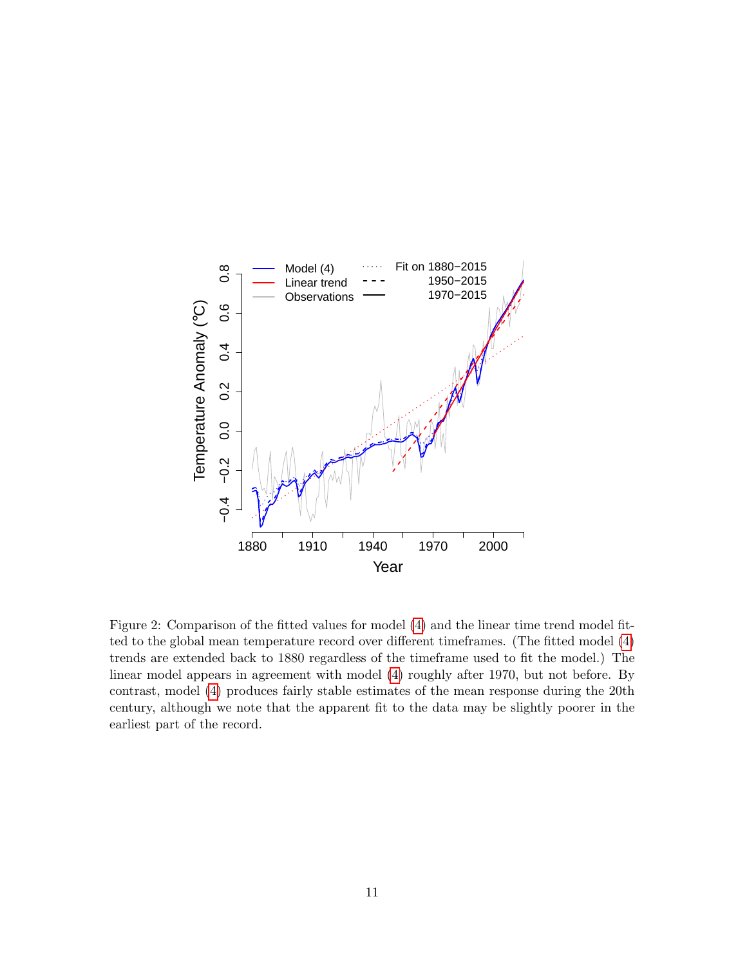

<span id="page-10-0"></span>Figure 2: Comparison of the fitted values for model [\(4\)](#page-8-0) and the linear time trend model fitted to the global mean temperature record over different timeframes. (The fitted model [\(4\)](#page-8-0) trends are extended back to 1880 regardless of the timeframe used to fit the model.) The linear model appears in agreement with model [\(4\)](#page-8-0) roughly after 1970, but not before. By contrast, model [\(4\)](#page-8-0) produces fairly stable estimates of the mean response during the 20th century, although we note that the apparent fit to the data may be slightly poorer in the earliest part of the record.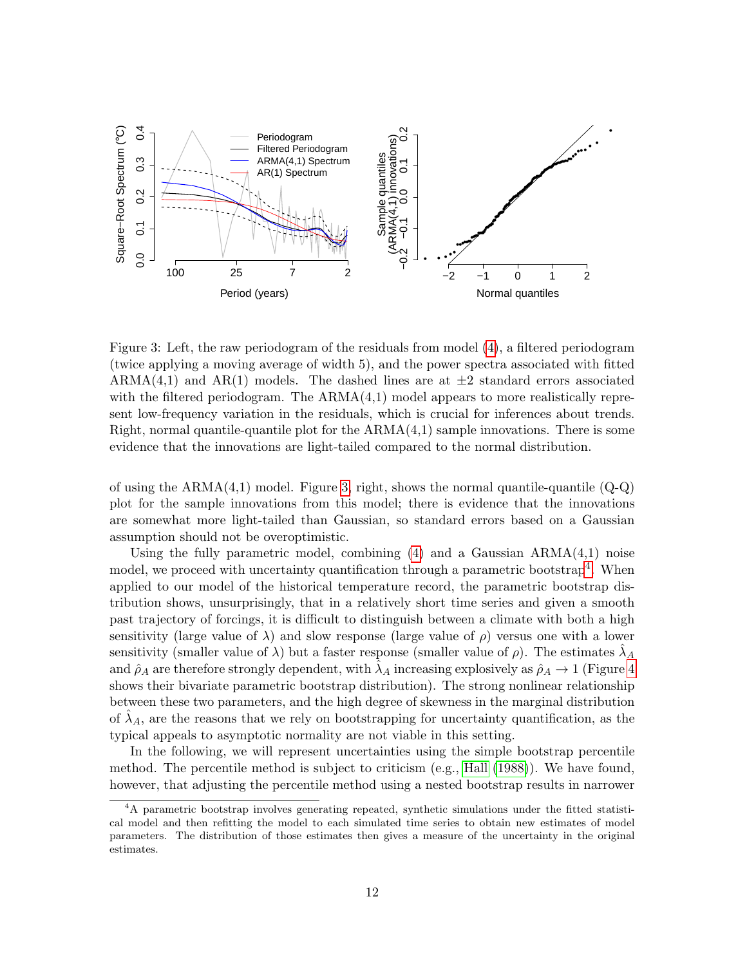

<span id="page-11-0"></span>Figure 3: Left, the raw periodogram of the residuals from model [\(4\)](#page-8-0), a filtered periodogram (twice applying a moving average of width 5), and the power spectra associated with fitted ARMA(4,1) and AR(1) models. The dashed lines are at  $\pm 2$  standard errors associated with the filtered periodogram. The ARMA $(4,1)$  model appears to more realistically represent low-frequency variation in the residuals, which is crucial for inferences about trends. Right, normal quantile-quantile plot for the  $ARMA(4,1)$  sample innovations. There is some evidence that the innovations are light-tailed compared to the normal distribution.

of using the  $ARMA(4,1)$  model. Figure [3,](#page-11-0) right, shows the normal quantile-quantile  $(Q-Q)$ plot for the sample innovations from this model; there is evidence that the innovations are somewhat more light-tailed than Gaussian, so standard errors based on a Gaussian assumption should not be overoptimistic.

Using the fully parametric model, combining  $(4)$  and a Gaussian  $ARMA(4,1)$  noise model, we proceed with uncertainty quantification through a parametric bootstrap<sup>[4](#page-11-1)</sup>. When applied to our model of the historical temperature record, the parametric bootstrap distribution shows, unsurprisingly, that in a relatively short time series and given a smooth past trajectory of forcings, it is difficult to distinguish between a climate with both a high sensitivity (large value of  $\lambda$ ) and slow response (large value of  $\rho$ ) versus one with a lower sensitivity (smaller value of  $\lambda$ ) but a faster response (smaller value of  $\rho$ ). The estimates  $\lambda_A$ and  $\hat{\rho}_A$  are therefore strongly dependent, with  $\lambda_A$  increasing explosively as  $\hat{\rho}_A \to 1$  (Figure [4](#page-12-0) shows their bivariate parametric bootstrap distribution). The strong nonlinear relationship between these two parameters, and the high degree of skewness in the marginal distribution of  $\lambda_A$ , are the reasons that we rely on bootstrapping for uncertainty quantification, as the typical appeals to asymptotic normality are not viable in this setting.

In the following, we will represent uncertainties using the simple bootstrap percentile method. The percentile method is subject to criticism (e.g., [Hall](#page-34-10) [\(1988\)](#page-34-10)). We have found, however, that adjusting the percentile method using a nested bootstrap results in narrower

<span id="page-11-1"></span><sup>&</sup>lt;sup>4</sup>A parametric bootstrap involves generating repeated, synthetic simulations under the fitted statistical model and then refitting the model to each simulated time series to obtain new estimates of model parameters. The distribution of those estimates then gives a measure of the uncertainty in the original estimates.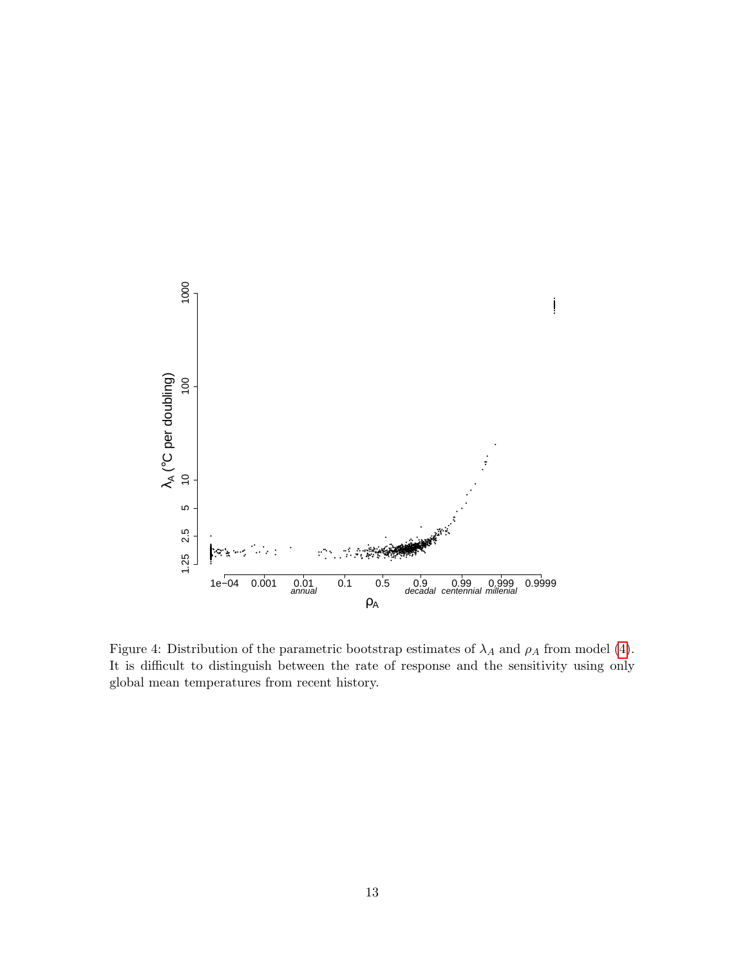

<span id="page-12-0"></span>Figure 4: Distribution of the parametric bootstrap estimates of  $\lambda_A$  and  $\rho_A$  from model (4). It is difficult to distinguish between the rate of response and the sensitivity using only global mean temperatures from recent history.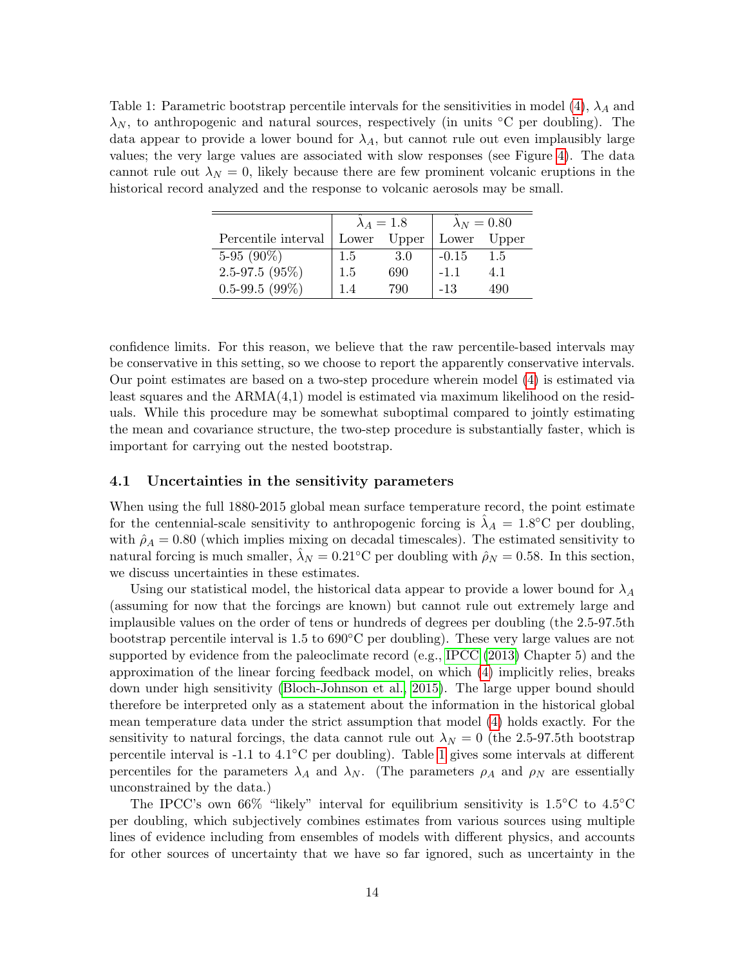<span id="page-13-0"></span>Table 1: Parametric bootstrap percentile intervals for the sensitivities in model [\(4\)](#page-8-0),  $\lambda_A$  and  $\lambda_N$ , to anthropogenic and natural sources, respectively (in units  $\rm{°C}$  per doubling). The data appear to provide a lower bound for  $\lambda_A$ , but cannot rule out even implausibly large values; the very large values are associated with slow responses (see Figure [4\)](#page-12-0). The data cannot rule out  $\lambda_N = 0$ , likely because there are few prominent volcanic eruptions in the historical record analyzed and the response to volcanic aerosols may be small.

|                     |             | $\lambda_A=1.8$ | $\lambda_N=0.80$ |             |  |
|---------------------|-------------|-----------------|------------------|-------------|--|
| Percentile interval | Lower Upper |                 |                  | Lower Upper |  |
| 5-95 $(90\%)$       | 1.5         | 3.0             | $-0.15$          | $1.5\,$     |  |
| $2.5 - 97.5(95%)$   | 1.5         | 690             | $-1.1$           | 4.1         |  |
| $0.5 - 99.5(99\%)$  | 14          | 790             | $-1.3$           | 490         |  |

confidence limits. For this reason, we believe that the raw percentile-based intervals may be conservative in this setting, so we choose to report the apparently conservative intervals. Our point estimates are based on a two-step procedure wherein model [\(4\)](#page-8-0) is estimated via least squares and the ARMA(4,1) model is estimated via maximum likelihood on the residuals. While this procedure may be somewhat suboptimal compared to jointly estimating the mean and covariance structure, the two-step procedure is substantially faster, which is important for carrying out the nested bootstrap.

#### 4.1 Uncertainties in the sensitivity parameters

When using the full 1880-2015 global mean surface temperature record, the point estimate for the centennial-scale sensitivity to anthropogenic forcing is  $\hat{\lambda}_A = 1.8$ °C per doubling, with  $\hat{\rho}_A = 0.80$  (which implies mixing on decadal timescales). The estimated sensitivity to natural forcing is much smaller,  $\lambda_N = 0.21$ °C per doubling with  $\rho_N = 0.58$ . In this section, we discuss uncertainties in these estimates.

Using our statistical model, the historical data appear to provide a lower bound for  $\lambda_A$ (assuming for now that the forcings are known) but cannot rule out extremely large and implausible values on the order of tens or hundreds of degrees per doubling (the 2.5-97.5th bootstrap percentile interval is 1.5 to 690◦C per doubling). These very large values are not supported by evidence from the paleoclimate record (e.g., [IPCC](#page-34-0) [\(2013\)](#page-34-0) Chapter 5) and the approximation of the linear forcing feedback model, on which [\(4\)](#page-8-0) implicitly relies, breaks down under high sensitivity [\(Bloch-Johnson et al., 2015\)](#page-33-9). The large upper bound should therefore be interpreted only as a statement about the information in the historical global mean temperature data under the strict assumption that model [\(4\)](#page-8-0) holds exactly. For the sensitivity to natural forcings, the data cannot rule out  $\lambda_N = 0$  (the 2.5-97.5th bootstrap percentile interval is -1.1 to 4.1◦C per doubling). Table [1](#page-13-0) gives some intervals at different percentiles for the parameters  $\lambda_A$  and  $\lambda_N$ . (The parameters  $\rho_A$  and  $\rho_N$  are essentially unconstrained by the data.)

The IPCC's own 66% "likely" interval for equilibrium sensitivity is  $1.5^{\circ}$ C to  $4.5^{\circ}$ C per doubling, which subjectively combines estimates from various sources using multiple lines of evidence including from ensembles of models with different physics, and accounts for other sources of uncertainty that we have so far ignored, such as uncertainty in the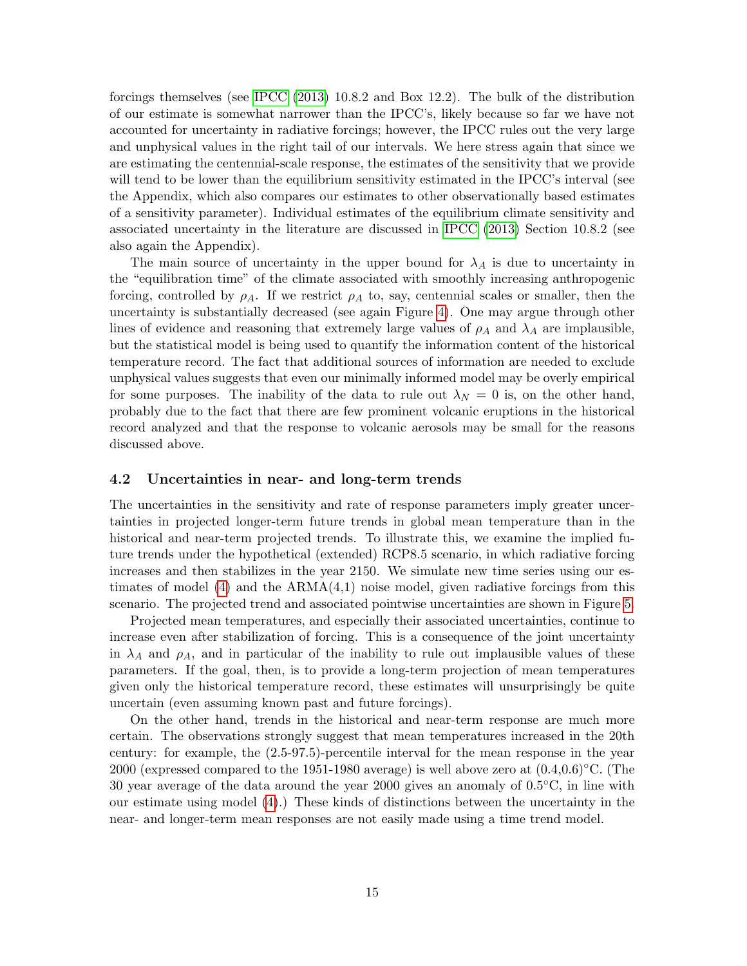forcings themselves (see [IPCC](#page-34-0) [\(2013\)](#page-34-0) 10.8.2 and Box 12.2). The bulk of the distribution of our estimate is somewhat narrower than the IPCC's, likely because so far we have not accounted for uncertainty in radiative forcings; however, the IPCC rules out the very large and unphysical values in the right tail of our intervals. We here stress again that since we are estimating the centennial-scale response, the estimates of the sensitivity that we provide will tend to be lower than the equilibrium sensitivity estimated in the IPCC's interval (see the Appendix, which also compares our estimates to other observationally based estimates of a sensitivity parameter). Individual estimates of the equilibrium climate sensitivity and associated uncertainty in the literature are discussed in [IPCC](#page-34-0) [\(2013\)](#page-34-0) Section 10.8.2 (see also again the Appendix).

The main source of uncertainty in the upper bound for  $\lambda_A$  is due to uncertainty in the "equilibration time" of the climate associated with smoothly increasing anthropogenic forcing, controlled by  $\rho_A$ . If we restrict  $\rho_A$  to, say, centennial scales or smaller, then the uncertainty is substantially decreased (see again Figure [4\)](#page-12-0). One may argue through other lines of evidence and reasoning that extremely large values of  $\rho_A$  and  $\lambda_A$  are implausible, but the statistical model is being used to quantify the information content of the historical temperature record. The fact that additional sources of information are needed to exclude unphysical values suggests that even our minimally informed model may be overly empirical for some purposes. The inability of the data to rule out  $\lambda_N = 0$  is, on the other hand, probably due to the fact that there are few prominent volcanic eruptions in the historical record analyzed and that the response to volcanic aerosols may be small for the reasons discussed above.

#### 4.2 Uncertainties in near- and long-term trends

The uncertainties in the sensitivity and rate of response parameters imply greater uncertainties in projected longer-term future trends in global mean temperature than in the historical and near-term projected trends. To illustrate this, we examine the implied future trends under the hypothetical (extended) RCP8.5 scenario, in which radiative forcing increases and then stabilizes in the year 2150. We simulate new time series using our estimates of model  $(4)$  and the  $ARMA(4,1)$  noise model, given radiative forcings from this scenario. The projected trend and associated pointwise uncertainties are shown in Figure [5.](#page-15-0)

Projected mean temperatures, and especially their associated uncertainties, continue to increase even after stabilization of forcing. This is a consequence of the joint uncertainty in  $\lambda_A$  and  $\rho_A$ , and in particular of the inability to rule out implausible values of these parameters. If the goal, then, is to provide a long-term projection of mean temperatures given only the historical temperature record, these estimates will unsurprisingly be quite uncertain (even assuming known past and future forcings).

On the other hand, trends in the historical and near-term response are much more certain. The observations strongly suggest that mean temperatures increased in the 20th century: for example, the (2.5-97.5)-percentile interval for the mean response in the year 2000 (expressed compared to the 1951-1980 average) is well above zero at  $(0.4,0.6)$ °C. (The 30 year average of the data around the year 2000 gives an anomaly of 0.5◦C, in line with our estimate using model [\(4\)](#page-8-0).) These kinds of distinctions between the uncertainty in the near- and longer-term mean responses are not easily made using a time trend model.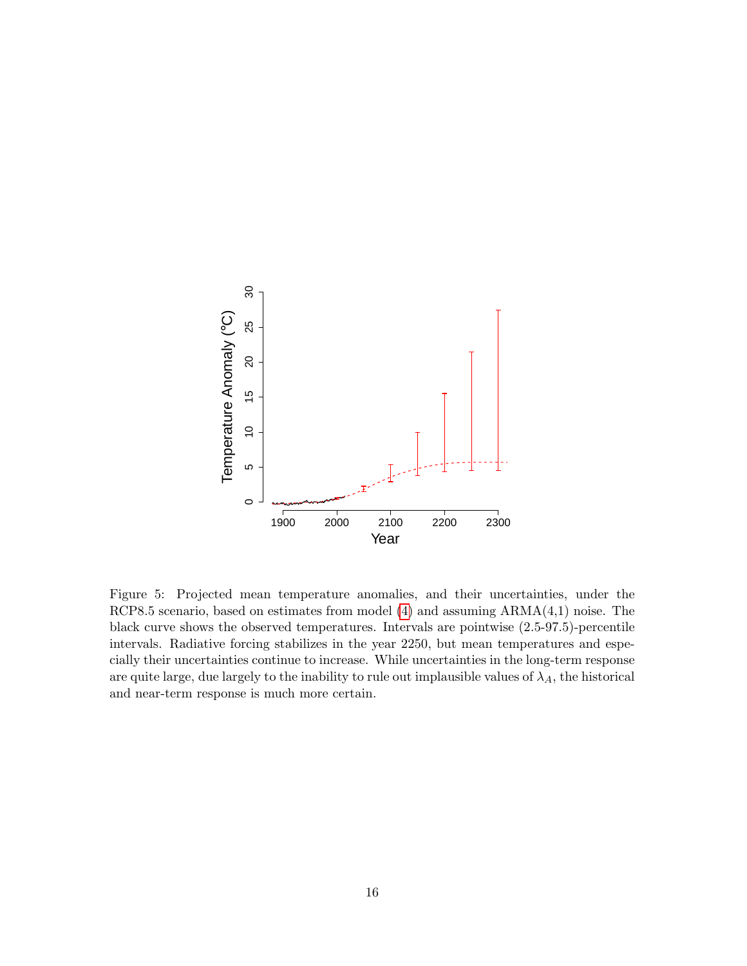

<span id="page-15-0"></span>Figure 5: Projected mean temperature anomalies, and their uncertainties, under the RCP8.5 scenario, based on estimates from model [\(4\)](#page-8-0) and assuming ARMA(4,1) noise. The black curve shows the observed temperatures. Intervals are pointwise (2.5-97.5)-percentile intervals. Radiative forcing stabilizes in the year 2250, but mean temperatures and especially their uncertainties continue to increase. While uncertainties in the long-term response are quite large, due largely to the inability to rule out implausible values of  $\lambda_A$ , the historical and near-term response is much more certain.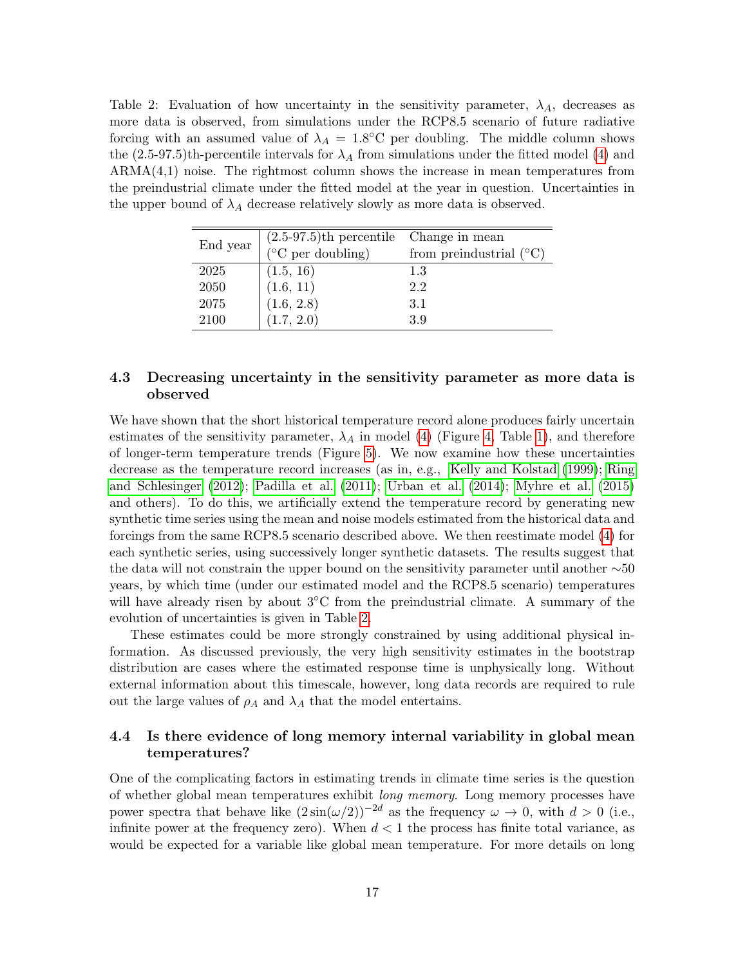<span id="page-16-0"></span>Table 2: Evaluation of how uncertainty in the sensitivity parameter,  $\lambda_A$ , decreases as more data is observed, from simulations under the RCP8.5 scenario of future radiative forcing with an assumed value of  $\lambda_A = 1.8$ °C per doubling. The middle column shows the  $(2.5-97.5)$ th-percentile intervals for  $\lambda_A$  from simulations under the fitted model [\(4\)](#page-8-0) and ARMA(4,1) noise. The rightmost column shows the increase in mean temperatures from the preindustrial climate under the fitted model at the year in question. Uncertainties in the upper bound of  $\lambda_A$  decrease relatively slowly as more data is observed.

| End year | $(2.5-97.5)$ th percentile Change in mean |                                    |
|----------|-------------------------------------------|------------------------------------|
|          | $(^{\circ}C$ per doubling)                | from preindustrial $({}^{\circ}C)$ |
| 2025     | (1.5, 16)                                 | 1.3                                |
| 2050     | (1.6, 11)                                 | 2.2                                |
| 2075     | (1.6, 2.8)                                | 3.1                                |
| 2100     | (1.7, 2.0)                                | 3.9                                |

#### 4.3 Decreasing uncertainty in the sensitivity parameter as more data is observed

We have shown that the short historical temperature record alone produces fairly uncertain estimates of the sensitivity parameter,  $\lambda_A$  in model [\(4\)](#page-8-0) (Figure [4,](#page-12-0) Table [1\)](#page-13-0), and therefore of longer-term temperature trends (Figure [5\)](#page-15-0). We now examine how these uncertainties decrease as the temperature record increases (as in, e.g., [Kelly and Kolstad](#page-34-11) [\(1999\)](#page-34-11); [Ring](#page-36-9) [and Schlesinger](#page-36-9) [\(2012\)](#page-36-9); [Padilla et al.](#page-36-0) [\(2011\)](#page-36-0); [Urban et al.](#page-37-4) [\(2014\)](#page-37-4); [Myhre et al.](#page-36-10) [\(2015\)](#page-36-10) and others). To do this, we artificially extend the temperature record by generating new synthetic time series using the mean and noise models estimated from the historical data and forcings from the same RCP8.5 scenario described above. We then reestimate model [\(4\)](#page-8-0) for each synthetic series, using successively longer synthetic datasets. The results suggest that the data will not constrain the upper bound on the sensitivity parameter until another ∼50 years, by which time (under our estimated model and the RCP8.5 scenario) temperatures will have already risen by about  $3°C$  from the preindustrial climate. A summary of the evolution of uncertainties is given in Table [2.](#page-16-0)

These estimates could be more strongly constrained by using additional physical information. As discussed previously, the very high sensitivity estimates in the bootstrap distribution are cases where the estimated response time is unphysically long. Without external information about this timescale, however, long data records are required to rule out the large values of  $\rho_A$  and  $\lambda_A$  that the model entertains.

#### 4.4 Is there evidence of long memory internal variability in global mean temperatures?

One of the complicating factors in estimating trends in climate time series is the question of whether global mean temperatures exhibit long memory. Long memory processes have power spectra that behave like  $(2\sin(\omega/2))^{-2d}$  as the frequency  $\omega \to 0$ , with  $d > 0$  (i.e., infinite power at the frequency zero). When  $d < 1$  the process has finite total variance, as would be expected for a variable like global mean temperature. For more details on long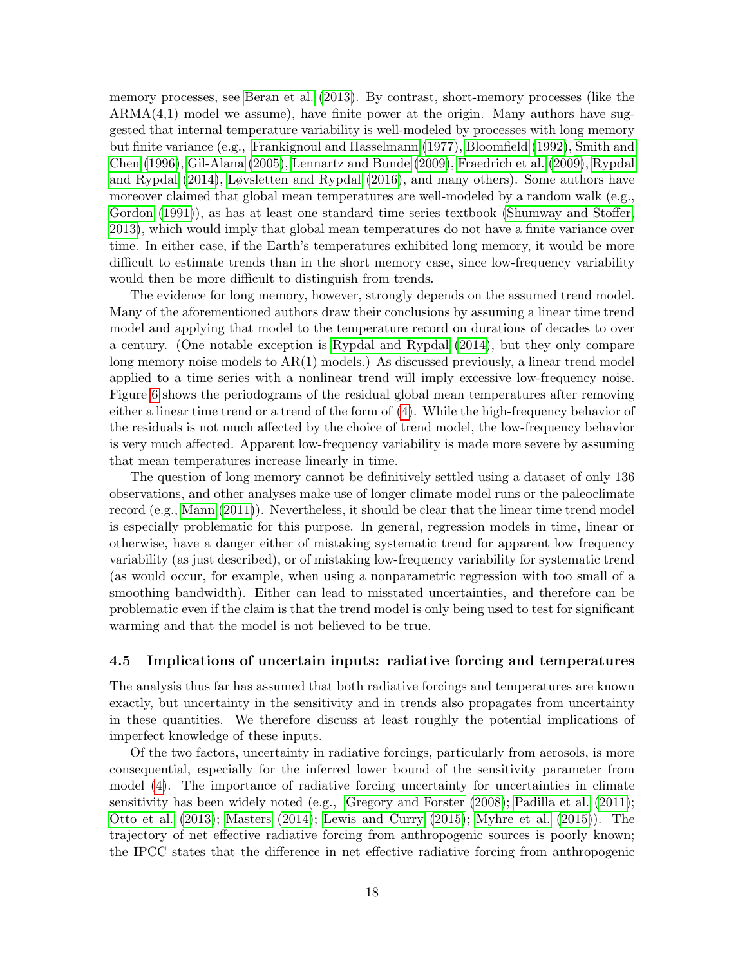memory processes, see [Beran et al.](#page-33-10) [\(2013\)](#page-33-10). By contrast, short-memory processes (like the  $ARMA(4,1)$  model we assume), have finite power at the origin. Many authors have suggested that internal temperature variability is well-modeled by processes with long memory but finite variance (e.g., [Frankignoul and Hasselmann](#page-33-11) [\(1977\)](#page-33-11), [Bloomfield](#page-33-2) [\(1992\)](#page-33-2), [Smith and](#page-36-3) [Chen](#page-36-3) [\(1996\)](#page-36-3), [Gil-Alana](#page-34-12) [\(2005\)](#page-34-12), [Lennartz and Bunde](#page-35-11) [\(2009\)](#page-35-11), [Fraedrich et al.](#page-33-12) [\(2009\)](#page-33-12), [Rypdal](#page-36-2) [and Rypdal](#page-36-2) [\(2014\)](#page-36-2), [Løvsletten and Rypdal](#page-35-3) [\(2016\)](#page-35-3), and many others). Some authors have moreover claimed that global mean temperatures are well-modeled by a random walk (e.g., [Gordon](#page-34-13) [\(1991\)](#page-34-13)), as has at least one standard time series textbook [\(Shumway and Stoffer,](#page-36-11) [2013\)](#page-36-11), which would imply that global mean temperatures do not have a finite variance over time. In either case, if the Earth's temperatures exhibited long memory, it would be more difficult to estimate trends than in the short memory case, since low-frequency variability would then be more difficult to distinguish from trends.

The evidence for long memory, however, strongly depends on the assumed trend model. Many of the aforementioned authors draw their conclusions by assuming a linear time trend model and applying that model to the temperature record on durations of decades to over a century. (One notable exception is [Rypdal and Rypdal](#page-36-2) [\(2014\)](#page-36-2), but they only compare long memory noise models to AR(1) models.) As discussed previously, a linear trend model applied to a time series with a nonlinear trend will imply excessive low-frequency noise. Figure [6](#page-18-0) shows the periodograms of the residual global mean temperatures after removing either a linear time trend or a trend of the form of [\(4\)](#page-8-0). While the high-frequency behavior of the residuals is not much affected by the choice of trend model, the low-frequency behavior is very much affected. Apparent low-frequency variability is made more severe by assuming that mean temperatures increase linearly in time.

The question of long memory cannot be definitively settled using a dataset of only 136 observations, and other analyses make use of longer climate model runs or the paleoclimate record (e.g., [Mann](#page-35-12) [\(2011\)](#page-35-12)). Nevertheless, it should be clear that the linear time trend model is especially problematic for this purpose. In general, regression models in time, linear or otherwise, have a danger either of mistaking systematic trend for apparent low frequency variability (as just described), or of mistaking low-frequency variability for systematic trend (as would occur, for example, when using a nonparametric regression with too small of a smoothing bandwidth). Either can lead to misstated uncertainties, and therefore can be problematic even if the claim is that the trend model is only being used to test for significant warming and that the model is not believed to be true.

#### <span id="page-17-0"></span>4.5 Implications of uncertain inputs: radiative forcing and temperatures

The analysis thus far has assumed that both radiative forcings and temperatures are known exactly, but uncertainty in the sensitivity and in trends also propagates from uncertainty in these quantities. We therefore discuss at least roughly the potential implications of imperfect knowledge of these inputs.

Of the two factors, uncertainty in radiative forcings, particularly from aerosols, is more consequential, especially for the inferred lower bound of the sensitivity parameter from model [\(4\)](#page-8-0). The importance of radiative forcing uncertainty for uncertainties in climate sensitivity has been widely noted (e.g., [Gregory and Forster](#page-34-2) [\(2008\)](#page-34-2); [Padilla et al.](#page-36-0) [\(2011\)](#page-36-0); [Otto et al.](#page-36-1) [\(2013\)](#page-36-1); [Masters](#page-35-1) [\(2014\)](#page-35-1); [Lewis and Curry](#page-35-2) [\(2015\)](#page-35-2); [Myhre et al.](#page-36-10) [\(2015\)](#page-36-10)). The trajectory of net effective radiative forcing from anthropogenic sources is poorly known; the IPCC states that the difference in net effective radiative forcing from anthropogenic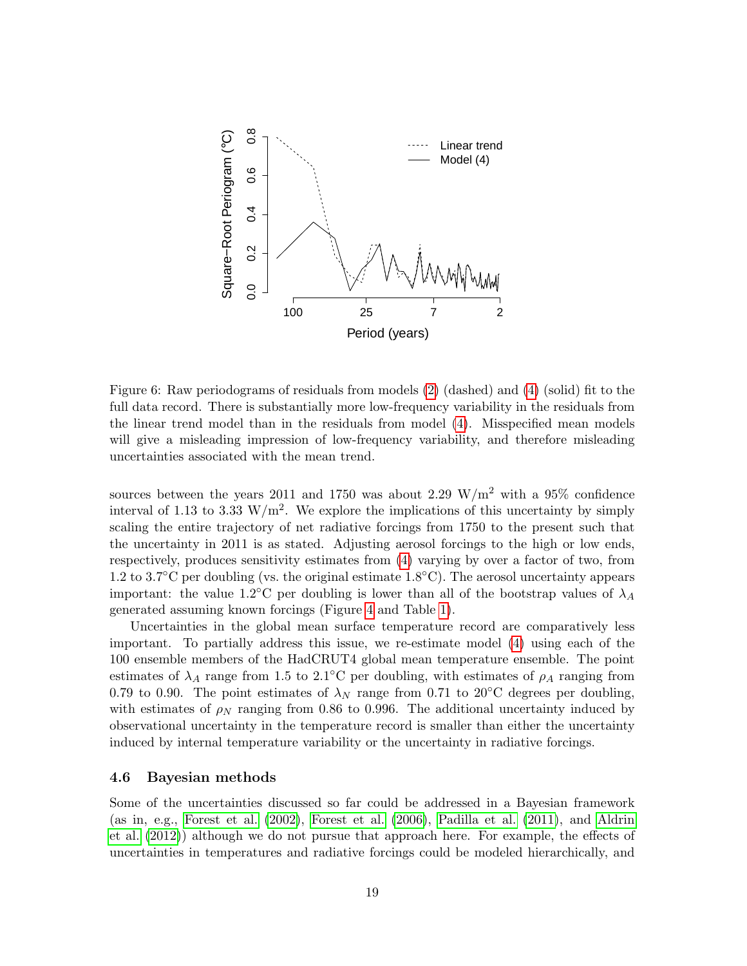

<span id="page-18-0"></span>Figure 6: Raw periodograms of residuals from models [\(2\)](#page-6-0) (dashed) and [\(4\)](#page-8-0) (solid) fit to the full data record. There is substantially more low-frequency variability in the residuals from the linear trend model than in the residuals from model [\(4\)](#page-8-0). Misspecified mean models will give a misleading impression of low-frequency variability, and therefore misleading uncertainties associated with the mean trend.

sources between the years 2011 and 1750 was about 2.29 W/m<sup>2</sup> with a 95% confidence interval of 1.13 to 3.33 W/m<sup>2</sup>. We explore the implications of this uncertainty by simply scaling the entire trajectory of net radiative forcings from 1750 to the present such that the uncertainty in 2011 is as stated. Adjusting aerosol forcings to the high or low ends, respectively, produces sensitivity estimates from [\(4\)](#page-8-0) varying by over a factor of two, from 1.2 to 3.7◦C per doubling (vs. the original estimate 1.8◦C). The aerosol uncertainty appears important: the value 1.2°C per doubling is lower than all of the bootstrap values of  $\lambda_A$ generated assuming known forcings (Figure [4](#page-12-0) and Table [1\)](#page-13-0).

Uncertainties in the global mean surface temperature record are comparatively less important. To partially address this issue, we re-estimate model [\(4\)](#page-8-0) using each of the 100 ensemble members of the HadCRUT4 global mean temperature ensemble. The point estimates of  $\lambda_A$  range from 1.5 to 2.1°C per doubling, with estimates of  $\rho_A$  ranging from 0.79 to 0.90. The point estimates of  $\lambda_N$  range from 0.71 to 20°C degrees per doubling, with estimates of  $\rho_N$  ranging from 0.86 to 0.996. The additional uncertainty induced by observational uncertainty in the temperature record is smaller than either the uncertainty induced by internal temperature variability or the uncertainty in radiative forcings.

#### 4.6 Bayesian methods

Some of the uncertainties discussed so far could be addressed in a Bayesian framework (as in, e.g., [Forest et al.](#page-33-0) [\(2002\)](#page-33-0), [Forest et al.](#page-33-1) [\(2006\)](#page-33-1), [Padilla et al.](#page-36-0) [\(2011\)](#page-36-0), and [Aldrin](#page-32-0) [et al.](#page-32-0) [\(2012\)](#page-32-0)) although we do not pursue that approach here. For example, the effects of uncertainties in temperatures and radiative forcings could be modeled hierarchically, and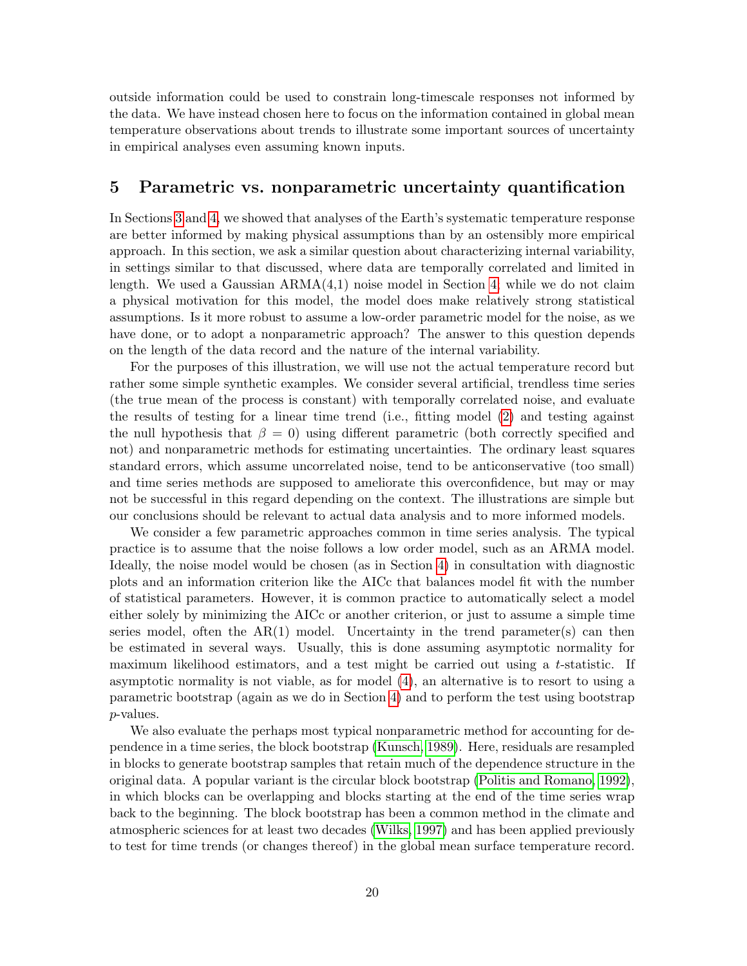outside information could be used to constrain long-timescale responses not informed by the data. We have instead chosen here to focus on the information contained in global mean temperature observations about trends to illustrate some important sources of uncertainty in empirical analyses even assuming known inputs.

### <span id="page-19-0"></span>5 Parametric vs. nonparametric uncertainty quantification

In Sections [3](#page-5-0) and [4,](#page-9-0) we showed that analyses of the Earth's systematic temperature response are better informed by making physical assumptions than by an ostensibly more empirical approach. In this section, we ask a similar question about characterizing internal variability, in settings similar to that discussed, where data are temporally correlated and limited in length. We used a Gaussian  $ARMA(4,1)$  noise model in Section [4;](#page-9-0) while we do not claim a physical motivation for this model, the model does make relatively strong statistical assumptions. Is it more robust to assume a low-order parametric model for the noise, as we have done, or to adopt a nonparametric approach? The answer to this question depends on the length of the data record and the nature of the internal variability.

For the purposes of this illustration, we will use not the actual temperature record but rather some simple synthetic examples. We consider several artificial, trendless time series (the true mean of the process is constant) with temporally correlated noise, and evaluate the results of testing for a linear time trend (i.e., fitting model [\(2\)](#page-6-0) and testing against the null hypothesis that  $\beta = 0$ ) using different parametric (both correctly specified and not) and nonparametric methods for estimating uncertainties. The ordinary least squares standard errors, which assume uncorrelated noise, tend to be anticonservative (too small) and time series methods are supposed to ameliorate this overconfidence, but may or may not be successful in this regard depending on the context. The illustrations are simple but our conclusions should be relevant to actual data analysis and to more informed models.

We consider a few parametric approaches common in time series analysis. The typical practice is to assume that the noise follows a low order model, such as an ARMA model. Ideally, the noise model would be chosen (as in Section [4\)](#page-9-0) in consultation with diagnostic plots and an information criterion like the AICc that balances model fit with the number of statistical parameters. However, it is common practice to automatically select a model either solely by minimizing the AICc or another criterion, or just to assume a simple time series model, often the  $AR(1)$  model. Uncertainty in the trend parameter(s) can then be estimated in several ways. Usually, this is done assuming asymptotic normality for maximum likelihood estimators, and a test might be carried out using a t-statistic. If asymptotic normality is not viable, as for model [\(4\)](#page-8-0), an alternative is to resort to using a parametric bootstrap (again as we do in Section [4\)](#page-9-0) and to perform the test using bootstrap p-values.

We also evaluate the perhaps most typical nonparametric method for accounting for dependence in a time series, the block bootstrap [\(Kunsch, 1989\)](#page-35-13). Here, residuals are resampled in blocks to generate bootstrap samples that retain much of the dependence structure in the original data. A popular variant is the circular block bootstrap [\(Politis and Romano, 1992\)](#page-36-12), in which blocks can be overlapping and blocks starting at the end of the time series wrap back to the beginning. The block bootstrap has been a common method in the climate and atmospheric sciences for at least two decades [\(Wilks, 1997\)](#page-37-5) and has been applied previously to test for time trends (or changes thereof) in the global mean surface temperature record.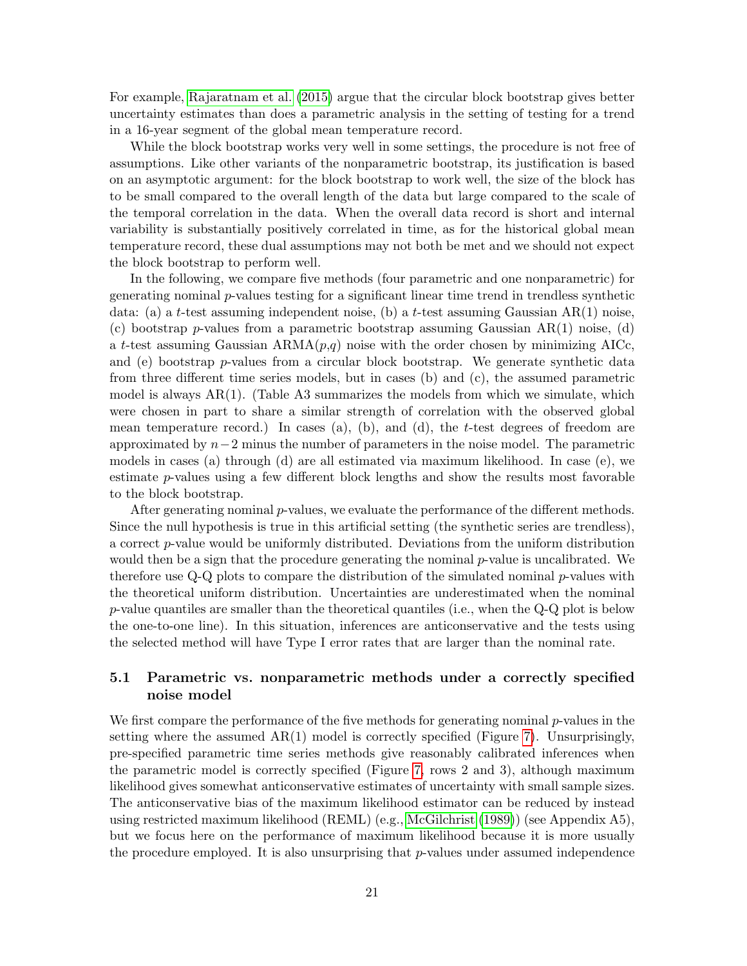For example, [Rajaratnam et al.](#page-36-4) [\(2015\)](#page-36-4) argue that the circular block bootstrap gives better uncertainty estimates than does a parametric analysis in the setting of testing for a trend in a 16-year segment of the global mean temperature record.

While the block bootstrap works very well in some settings, the procedure is not free of assumptions. Like other variants of the nonparametric bootstrap, its justification is based on an asymptotic argument: for the block bootstrap to work well, the size of the block has to be small compared to the overall length of the data but large compared to the scale of the temporal correlation in the data. When the overall data record is short and internal variability is substantially positively correlated in time, as for the historical global mean temperature record, these dual assumptions may not both be met and we should not expect the block bootstrap to perform well.

In the following, we compare five methods (four parametric and one nonparametric) for generating nominal p-values testing for a significant linear time trend in trendless synthetic data: (a) a t-test assuming independent noise, (b) a t-test assuming Gaussian  $AR(1)$  noise, (c) bootstrap p-values from a parametric bootstrap assuming Gaussian  $AR(1)$  noise, (d) a t-test assuming Gaussian  $ARMA(p,q)$  noise with the order chosen by minimizing AICc, and (e) bootstrap  $p$ -values from a circular block bootstrap. We generate synthetic data from three different time series models, but in cases (b) and (c), the assumed parametric model is always  $AR(1)$ . (Table A3 summarizes the models from which we simulate, which were chosen in part to share a similar strength of correlation with the observed global mean temperature record.) In cases (a), (b), and (d), the t-test degrees of freedom are approximated by  $n-2$  minus the number of parameters in the noise model. The parametric models in cases (a) through (d) are all estimated via maximum likelihood. In case (e), we estimate p-values using a few different block lengths and show the results most favorable to the block bootstrap.

After generating nominal p-values, we evaluate the performance of the different methods. Since the null hypothesis is true in this artificial setting (the synthetic series are trendless), a correct p-value would be uniformly distributed. Deviations from the uniform distribution would then be a sign that the procedure generating the nominal  $p$ -value is uncalibrated. We therefore use  $Q-Q$  plots to compare the distribution of the simulated nominal  $p$ -values with the theoretical uniform distribution. Uncertainties are underestimated when the nominal p-value quantiles are smaller than the theoretical quantiles (i.e., when the Q-Q plot is below the one-to-one line). In this situation, inferences are anticonservative and the tests using the selected method will have Type I error rates that are larger than the nominal rate.

#### 5.1 Parametric vs. nonparametric methods under a correctly specified noise model

We first compare the performance of the five methods for generating nominal  $p$ -values in the setting where the assumed  $AR(1)$  model is correctly specified (Figure [7\)](#page-22-0). Unsurprisingly, pre-specified parametric time series methods give reasonably calibrated inferences when the parametric model is correctly specified (Figure [7,](#page-22-0) rows 2 and 3), although maximum likelihood gives somewhat anticonservative estimates of uncertainty with small sample sizes. The anticonservative bias of the maximum likelihood estimator can be reduced by instead using restricted maximum likelihood (REML) (e.g., [McGilchrist](#page-35-14) [\(1989\)](#page-35-14)) (see Appendix A5), but we focus here on the performance of maximum likelihood because it is more usually the procedure employed. It is also unsurprising that  $p$ -values under assumed independence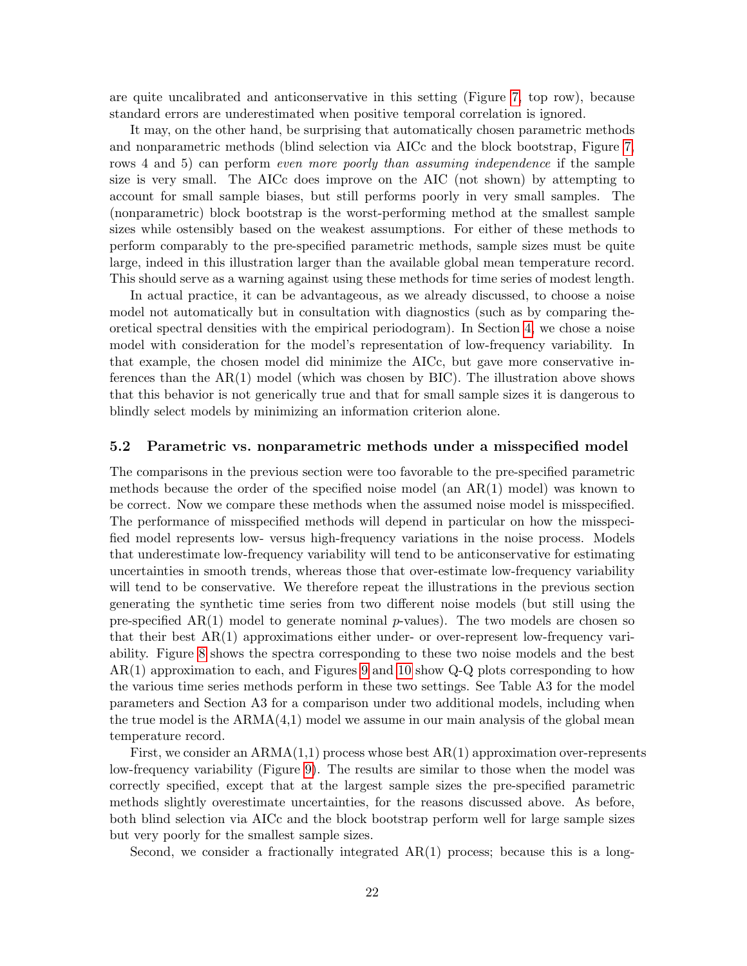are quite uncalibrated and anticonservative in this setting (Figure [7,](#page-22-0) top row), because standard errors are underestimated when positive temporal correlation is ignored.

It may, on the other hand, be surprising that automatically chosen parametric methods and nonparametric methods (blind selection via AICc and the block bootstrap, Figure [7,](#page-22-0) rows 4 and 5) can perform *even more poorly than assuming independence* if the sample size is very small. The AICc does improve on the AIC (not shown) by attempting to account for small sample biases, but still performs poorly in very small samples. The (nonparametric) block bootstrap is the worst-performing method at the smallest sample sizes while ostensibly based on the weakest assumptions. For either of these methods to perform comparably to the pre-specified parametric methods, sample sizes must be quite large, indeed in this illustration larger than the available global mean temperature record. This should serve as a warning against using these methods for time series of modest length.

In actual practice, it can be advantageous, as we already discussed, to choose a noise model not automatically but in consultation with diagnostics (such as by comparing theoretical spectral densities with the empirical periodogram). In Section [4,](#page-9-0) we chose a noise model with consideration for the model's representation of low-frequency variability. In that example, the chosen model did minimize the AICc, but gave more conservative inferences than the  $AR(1)$  model (which was chosen by  $BIC$ ). The illustration above shows that this behavior is not generically true and that for small sample sizes it is dangerous to blindly select models by minimizing an information criterion alone.

#### <span id="page-21-0"></span>5.2 Parametric vs. nonparametric methods under a misspecified model

The comparisons in the previous section were too favorable to the pre-specified parametric methods because the order of the specified noise model (an AR(1) model) was known to be correct. Now we compare these methods when the assumed noise model is misspecified. The performance of misspecified methods will depend in particular on how the misspecified model represents low- versus high-frequency variations in the noise process. Models that underestimate low-frequency variability will tend to be anticonservative for estimating uncertainties in smooth trends, whereas those that over-estimate low-frequency variability will tend to be conservative. We therefore repeat the illustrations in the previous section generating the synthetic time series from two different noise models (but still using the pre-specified  $AR(1)$  model to generate nominal p-values). The two models are chosen so that their best AR(1) approximations either under- or over-represent low-frequency variability. Figure [8](#page-23-1) shows the spectra corresponding to these two noise models and the best AR(1) approximation to each, and Figures [9](#page-24-0) and [10](#page-25-0) show Q-Q plots corresponding to how the various time series methods perform in these two settings. See Table A3 for the model parameters and Section A3 for a comparison under two additional models, including when the true model is the  $ARMA(4,1)$  model we assume in our main analysis of the global mean temperature record.

First, we consider an  $ARMA(1,1)$  process whose best  $AR(1)$  approximation over-represents low-frequency variability (Figure [9\)](#page-24-0). The results are similar to those when the model was correctly specified, except that at the largest sample sizes the pre-specified parametric methods slightly overestimate uncertainties, for the reasons discussed above. As before, both blind selection via AICc and the block bootstrap perform well for large sample sizes but very poorly for the smallest sample sizes.

Second, we consider a fractionally integrated  $AR(1)$  process; because this is a long-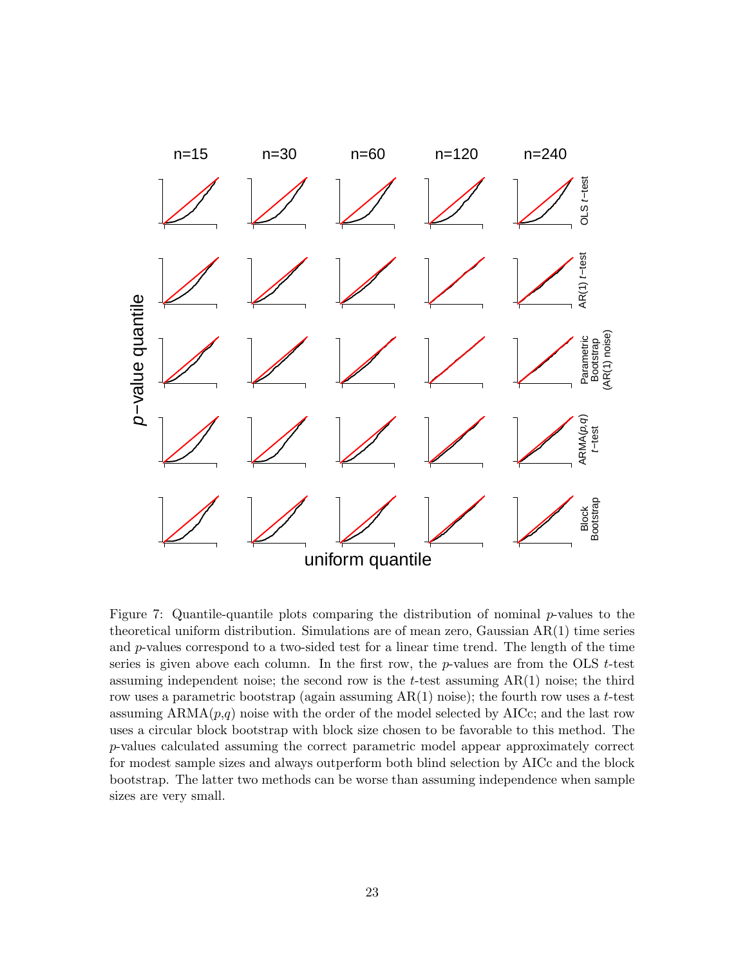

<span id="page-22-0"></span>Figure 7: Quantile-quantile plots comparing the distribution of nominal p-values to the theoretical uniform distribution. Simulations are of mean zero, Gaussian AR(1) time series and  $p$ -values correspond to a two-sided test for a linear time trend. The length of the time series is given above each column. In the first row, the  $p$ -values are from the OLS  $t$ -test assuming independent noise; the second row is the  $t$ -test assuming  $AR(1)$  noise; the third row uses a parametric bootstrap (again assuming  $AR(1)$  noise); the fourth row uses a t-test assuming  $ARMA(p,q)$  noise with the order of the model selected by  $AICc$ ; and the last row uses a circular block bootstrap with block size chosen to be favorable to this method. The p-values calculated assuming the correct parametric model appear approximately correct for modest sample sizes and always outperform both blind selection by AICc and the block bootstrap. The latter two methods can be worse than assuming independence when sample sizes are very small.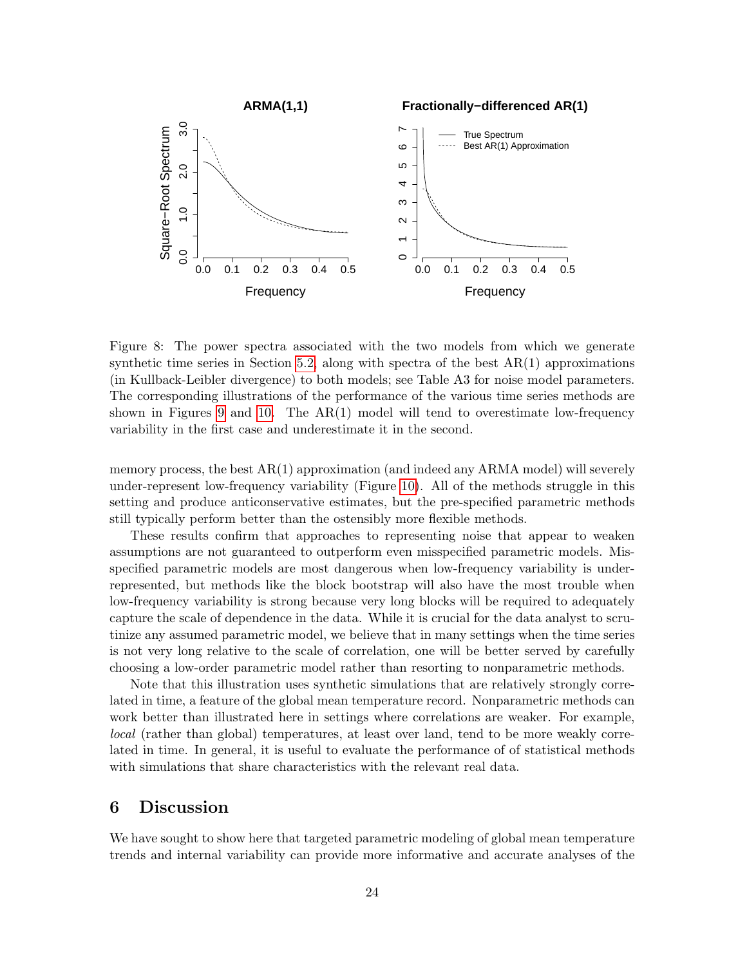

<span id="page-23-1"></span>Figure 8: The power spectra associated with the two models from which we generate synthetic time series in Section [5.2,](#page-21-0) along with spectra of the best  $AR(1)$  approximations (in Kullback-Leibler divergence) to both models; see Table A3 for noise model parameters. The corresponding illustrations of the performance of the various time series methods are shown in Figures [9](#page-24-0) and [10.](#page-25-0) The  $AR(1)$  model will tend to overestimate low-frequency variability in the first case and underestimate it in the second.

memory process, the best AR(1) approximation (and indeed any ARMA model) will severely under-represent low-frequency variability (Figure [10\)](#page-25-0). All of the methods struggle in this setting and produce anticonservative estimates, but the pre-specified parametric methods still typically perform better than the ostensibly more flexible methods.

These results confirm that approaches to representing noise that appear to weaken assumptions are not guaranteed to outperform even misspecified parametric models. Misspecified parametric models are most dangerous when low-frequency variability is underrepresented, but methods like the block bootstrap will also have the most trouble when low-frequency variability is strong because very long blocks will be required to adequately capture the scale of dependence in the data. While it is crucial for the data analyst to scrutinize any assumed parametric model, we believe that in many settings when the time series is not very long relative to the scale of correlation, one will be better served by carefully choosing a low-order parametric model rather than resorting to nonparametric methods.

Note that this illustration uses synthetic simulations that are relatively strongly correlated in time, a feature of the global mean temperature record. Nonparametric methods can work better than illustrated here in settings where correlations are weaker. For example, local (rather than global) temperatures, at least over land, tend to be more weakly correlated in time. In general, it is useful to evaluate the performance of of statistical methods with simulations that share characteristics with the relevant real data.

### <span id="page-23-0"></span>6 Discussion

We have sought to show here that targeted parametric modeling of global mean temperature trends and internal variability can provide more informative and accurate analyses of the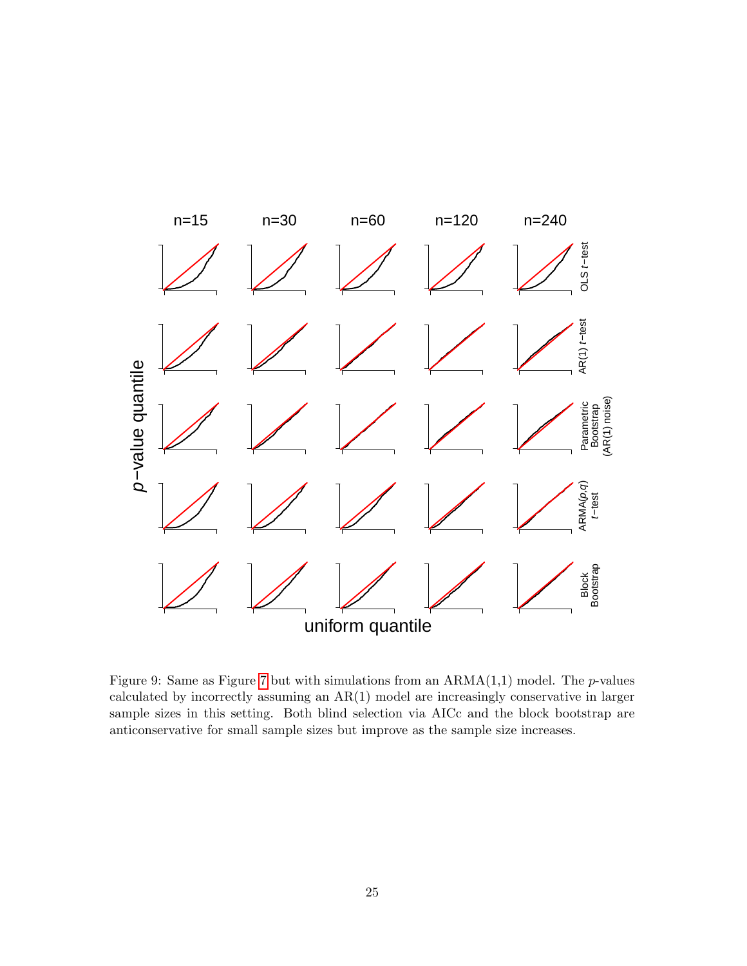

<span id="page-24-0"></span>Figure 9: Same as Figure [7](#page-22-0) but with simulations from an  $ARMA(1,1)$  model. The *p*-values calculated by incorrectly assuming an AR(1) model are increasingly conservative in larger sample sizes in this setting. Both blind selection via AICc and the block bootstrap are anticonservative for small sample sizes but improve as the sample size increases.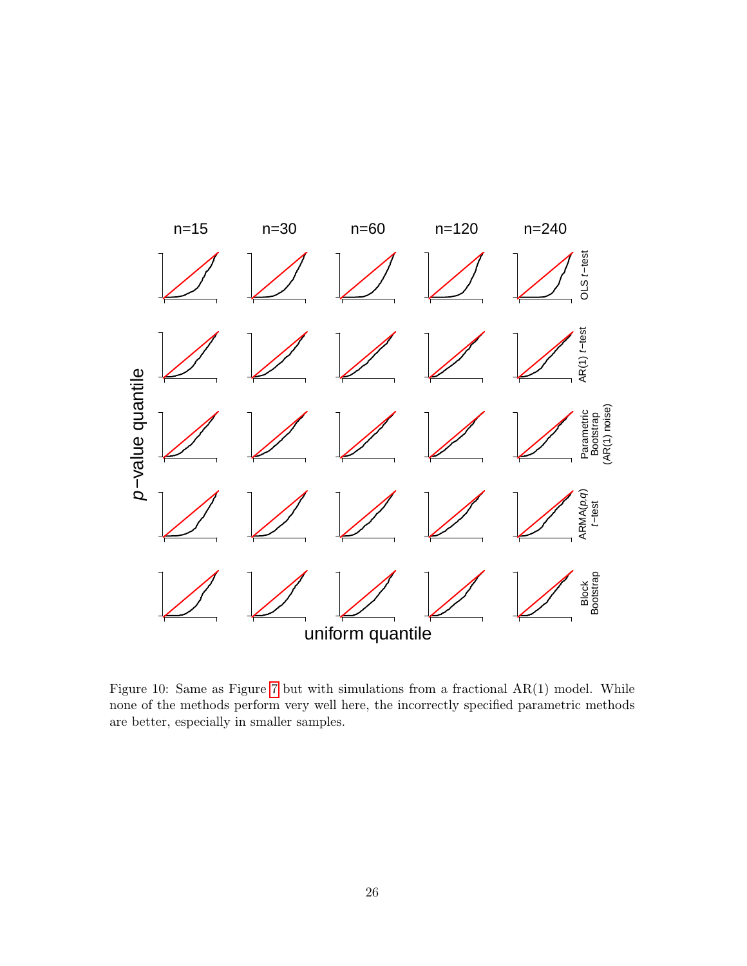

<span id="page-25-0"></span>Figure 10: Same as Figure [7](#page-22-0) but with simulations from a fractional  $AR(1)$  model. While none of the methods perform very well here, the incorrectly specified parametric methods are better, especially in smaller samples.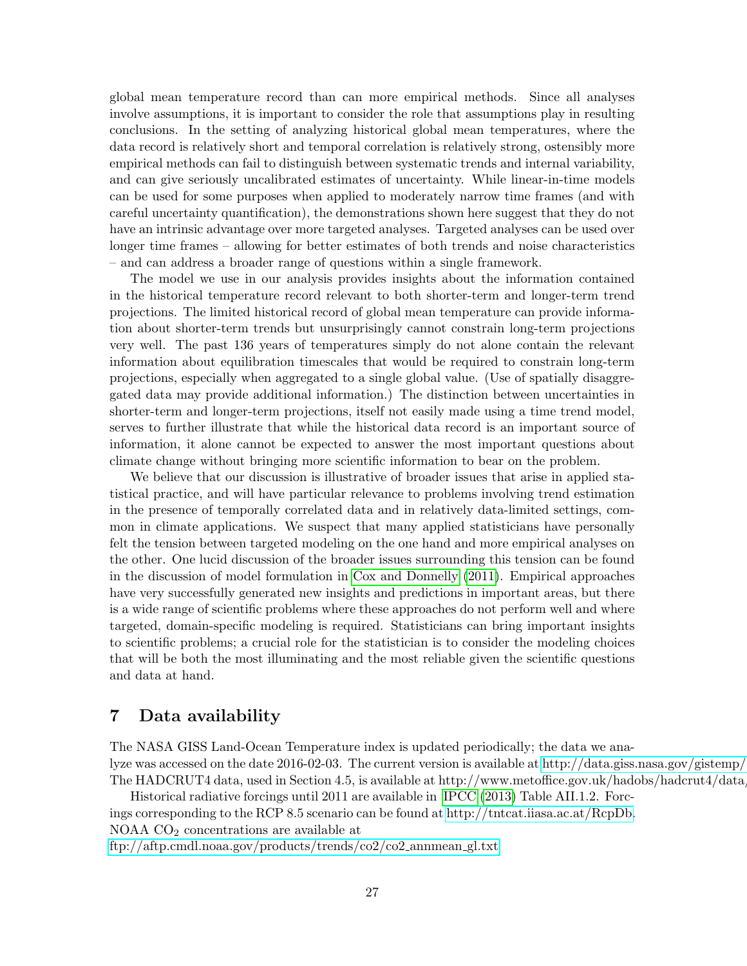global mean temperature record than can more empirical methods. Since all analyses involve assumptions, it is important to consider the role that assumptions play in resulting conclusions. In the setting of analyzing historical global mean temperatures, where the data record is relatively short and temporal correlation is relatively strong, ostensibly more empirical methods can fail to distinguish between systematic trends and internal variability, and can give seriously uncalibrated estimates of uncertainty. While linear-in-time models can be used for some purposes when applied to moderately narrow time frames (and with careful uncertainty quantification), the demonstrations shown here suggest that they do not have an intrinsic advantage over more targeted analyses. Targeted analyses can be used over longer time frames – allowing for better estimates of both trends and noise characteristics – and can address a broader range of questions within a single framework.

The model we use in our analysis provides insights about the information contained in the historical temperature record relevant to both shorter-term and longer-term trend projections. The limited historical record of global mean temperature can provide information about shorter-term trends but unsurprisingly cannot constrain long-term projections very well. The past 136 years of temperatures simply do not alone contain the relevant information about equilibration timescales that would be required to constrain long-term projections, especially when aggregated to a single global value. (Use of spatially disaggregated data may provide additional information.) The distinction between uncertainties in shorter-term and longer-term projections, itself not easily made using a time trend model, serves to further illustrate that while the historical data record is an important source of information, it alone cannot be expected to answer the most important questions about climate change without bringing more scientific information to bear on the problem.

We believe that our discussion is illustrative of broader issues that arise in applied statistical practice, and will have particular relevance to problems involving trend estimation in the presence of temporally correlated data and in relatively data-limited settings, common in climate applications. We suspect that many applied statisticians have personally felt the tension between targeted modeling on the one hand and more empirical analyses on the other. One lucid discussion of the broader issues surrounding this tension can be found in the discussion of model formulation in [Cox and Donnelly](#page-33-13) [\(2011\)](#page-33-13). Empirical approaches have very successfully generated new insights and predictions in important areas, but there is a wide range of scientific problems where these approaches do not perform well and where targeted, domain-specific modeling is required. Statisticians can bring important insights to scientific problems; a crucial role for the statistician is to consider the modeling choices that will be both the most illuminating and the most reliable given the scientific questions and data at hand.

### 7 Data availability

The NASA GISS Land-Ocean Temperature index is updated periodically; the data we analyze was accessed on the date 2016-02-03. The current version is available at [http://data.giss.nasa.gov/gistemp/.](http://data.giss.nasa.gov/gistemp/) The HADCRUT4 data, used in Section 4.5, is available at http://www.metoffice.gov.uk/hadobs/hadcrut4/data

Historical radiative forcings until 2011 are available in [IPCC](#page-34-0) [\(2013\)](#page-34-0) Table AII.1.2. Forcings corresponding to the RCP 8.5 scenario can be found at [http://tntcat.iiasa.ac.at/RcpDb.](http://tntcat.iiasa.ac.at/RcpDb) NOAA CO<sup>2</sup> concentrations are available at [ftp://aftp.cmdl.noaa.gov/products/trends/co2/co2](ftp://aftp.cmdl.noaa.gov/products/trends/co2/co2_annmean_gl.txt) annmean gl.txt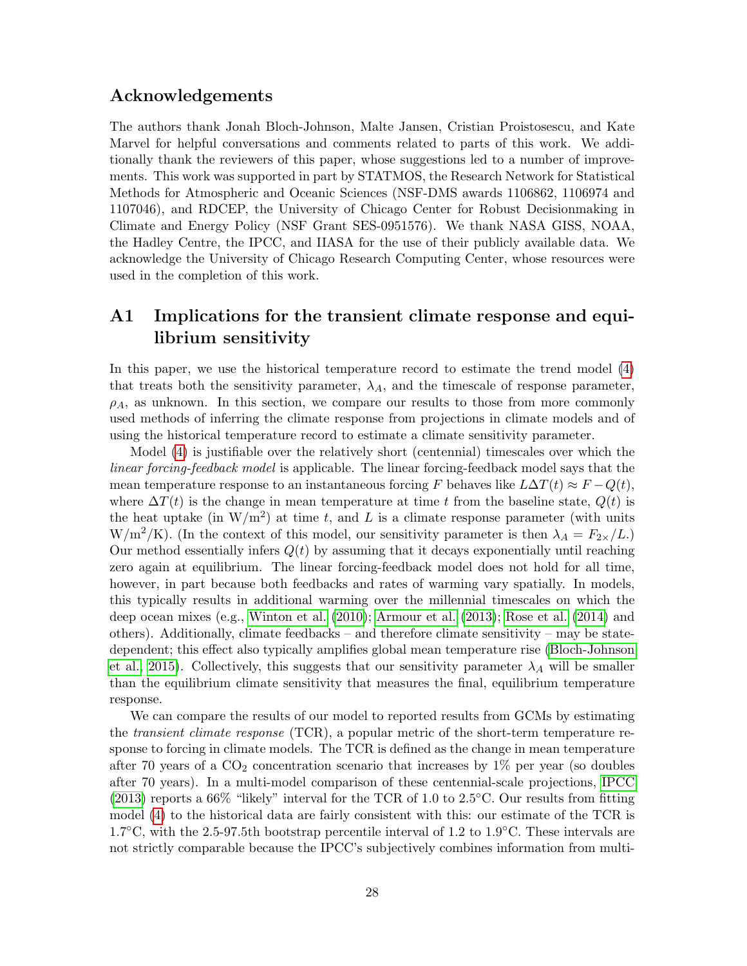### Acknowledgements

The authors thank Jonah Bloch-Johnson, Malte Jansen, Cristian Proistosescu, and Kate Marvel for helpful conversations and comments related to parts of this work. We additionally thank the reviewers of this paper, whose suggestions led to a number of improvements. This work was supported in part by STATMOS, the Research Network for Statistical Methods for Atmospheric and Oceanic Sciences (NSF-DMS awards 1106862, 1106974 and 1107046), and RDCEP, the University of Chicago Center for Robust Decisionmaking in Climate and Energy Policy (NSF Grant SES-0951576). We thank NASA GISS, NOAA, the Hadley Centre, the IPCC, and IIASA for the use of their publicly available data. We acknowledge the University of Chicago Research Computing Center, whose resources were used in the completion of this work.

## A1 Implications for the transient climate response and equilibrium sensitivity

In this paper, we use the historical temperature record to estimate the trend model [\(4\)](#page-8-0) that treats both the sensitivity parameter,  $\lambda_A$ , and the timescale of response parameter,  $\rho_A$ , as unknown. In this section, we compare our results to those from more commonly used methods of inferring the climate response from projections in climate models and of using the historical temperature record to estimate a climate sensitivity parameter.

Model [\(4\)](#page-8-0) is justifiable over the relatively short (centennial) timescales over which the linear forcing-feedback model is applicable. The linear forcing-feedback model says that the mean temperature response to an instantaneous forcing F behaves like  $L\Delta T(t) \approx F - Q(t)$ , where  $\Delta T(t)$  is the change in mean temperature at time t from the baseline state,  $Q(t)$  is the heat uptake (in  $W/m^2$ ) at time t, and L is a climate response parameter (with units  $W/m^2/K$ ). (In the context of this model, our sensitivity parameter is then  $\lambda_A = F_{2\times}/L$ .) Our method essentially infers  $Q(t)$  by assuming that it decays exponentially until reaching zero again at equilibrium. The linear forcing-feedback model does not hold for all time, however, in part because both feedbacks and rates of warming vary spatially. In models, this typically results in additional warming over the millennial timescales on which the deep ocean mixes (e.g., [Winton et al.](#page-37-6) [\(2010\)](#page-37-6); [Armour et al.](#page-33-14) [\(2013\)](#page-33-14); [Rose et al.](#page-36-13) [\(2014\)](#page-36-13) and others). Additionally, climate feedbacks – and therefore climate sensitivity – may be statedependent; this effect also typically amplifies global mean temperature rise [\(Bloch-Johnson](#page-33-9) [et al., 2015\)](#page-33-9). Collectively, this suggests that our sensitivity parameter  $\lambda_A$  will be smaller than the equilibrium climate sensitivity that measures the final, equilibrium temperature response.

We can compare the results of our model to reported results from GCMs by estimating the *transient climate response* (TCR), a popular metric of the short-term temperature response to forcing in climate models. The TCR is defined as the change in mean temperature after 70 years of a  $CO<sub>2</sub>$  concentration scenario that increases by 1% per year (so doubles after 70 years). In a multi-model comparison of these centennial-scale projections, [IPCC](#page-34-0)  $(2013)$  reports a 66% "likely" interval for the TCR of 1.0 to 2.5<sup>°</sup>C. Our results from fitting model [\(4\)](#page-8-0) to the historical data are fairly consistent with this: our estimate of the TCR is  $1.7°C$ , with the 2.5-97.5th bootstrap percentile interval of 1.2 to 1.9°C. These intervals are not strictly comparable because the IPCC's subjectively combines information from multi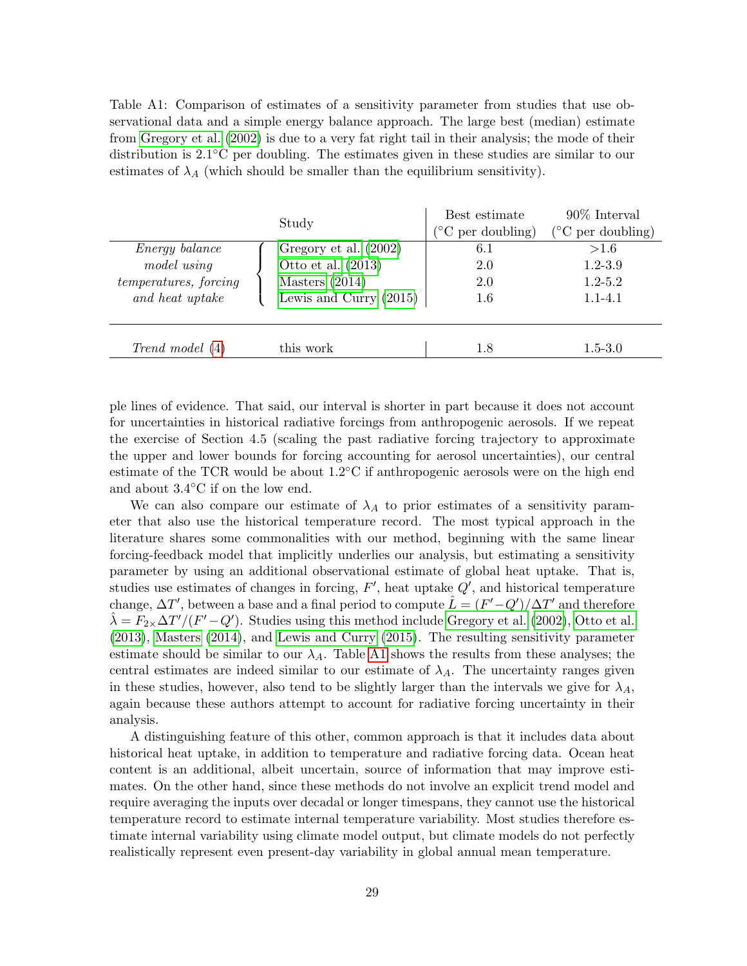Table A1: Comparison of estimates of a sensitivity parameter from studies that use observational data and a simple energy balance approach. The large best (median) estimate from [Gregory et al.](#page-34-1) [\(2002\)](#page-34-1) is due to a very fat right tail in their analysis; the mode of their distribution is 2.1◦C per doubling. The estimates given in these studies are similar to our estimates of  $\lambda_A$  (which should be smaller than the equilibrium sensitivity).

|                                                                                  | Study                                                                                         | Best estimate<br>$\rm ^{\circ}C$ per doubling) | $90\%$ Interval<br>$(^{\circ}C$ per doubling)     |
|----------------------------------------------------------------------------------|-----------------------------------------------------------------------------------------------|------------------------------------------------|---------------------------------------------------|
| <i>Energy balance</i><br>model using<br>temperatures, forcing<br>and heat uptake | Gregory et al. (2002)<br>Otto et al. $(2013)$<br>Masters $(2014)$<br>Lewis and Curry $(2015)$ | 6.1<br>2.0<br>2.0<br>1.6                       | >1.6<br>$1.2 - 3.9$<br>$1.2 - 5.2$<br>$1.1 - 4.1$ |
| Trend model (4)                                                                  | this work                                                                                     | 1.8                                            | $1.5 - 3.0$                                       |

ple lines of evidence. That said, our interval is shorter in part because it does not account for uncertainties in historical radiative forcings from anthropogenic aerosols. If we repeat the exercise of Section 4.5 (scaling the past radiative forcing trajectory to approximate the upper and lower bounds for forcing accounting for aerosol uncertainties), our central estimate of the TCR would be about  $1.2\degree$ C if anthropogenic aerosols were on the high end and about 3.4◦C if on the low end.

We can also compare our estimate of  $\lambda_A$  to prior estimates of a sensitivity parameter that also use the historical temperature record. The most typical approach in the literature shares some commonalities with our method, beginning with the same linear forcing-feedback model that implicitly underlies our analysis, but estimating a sensitivity parameter by using an additional observational estimate of global heat uptake. That is, studies use estimates of changes in forcing,  $F'$ , heat uptake  $Q'$ , and historical temperature change,  $\Delta T'$ , between a base and a final period to compute  $\hat{L} = (F' - Q')/\Delta T'$  and therefore  $\hat{\lambda} = F_{2\times} \Delta T'/ (F'-Q')$ . Studies using this method include [Gregory et al.](#page-34-1) [\(2002\)](#page-34-1), [Otto et al.](#page-36-1) [\(2013\)](#page-36-1), [Masters](#page-35-1) [\(2014\)](#page-35-1), and [Lewis and Curry](#page-35-2) [\(2015\)](#page-35-2). The resulting sensitivity parameter estimate should be similar to our  $\lambda_A$ . Table [A1](#page-13-0) shows the results from these analyses; the central estimates are indeed similar to our estimate of  $\lambda_A$ . The uncertainty ranges given in these studies, however, also tend to be slightly larger than the intervals we give for  $\lambda_A$ , again because these authors attempt to account for radiative forcing uncertainty in their analysis.

A distinguishing feature of this other, common approach is that it includes data about historical heat uptake, in addition to temperature and radiative forcing data. Ocean heat content is an additional, albeit uncertain, source of information that may improve estimates. On the other hand, since these methods do not involve an explicit trend model and require averaging the inputs over decadal or longer timespans, they cannot use the historical temperature record to estimate internal temperature variability. Most studies therefore estimate internal variability using climate model output, but climate models do not perfectly realistically represent even present-day variability in global annual mean temperature.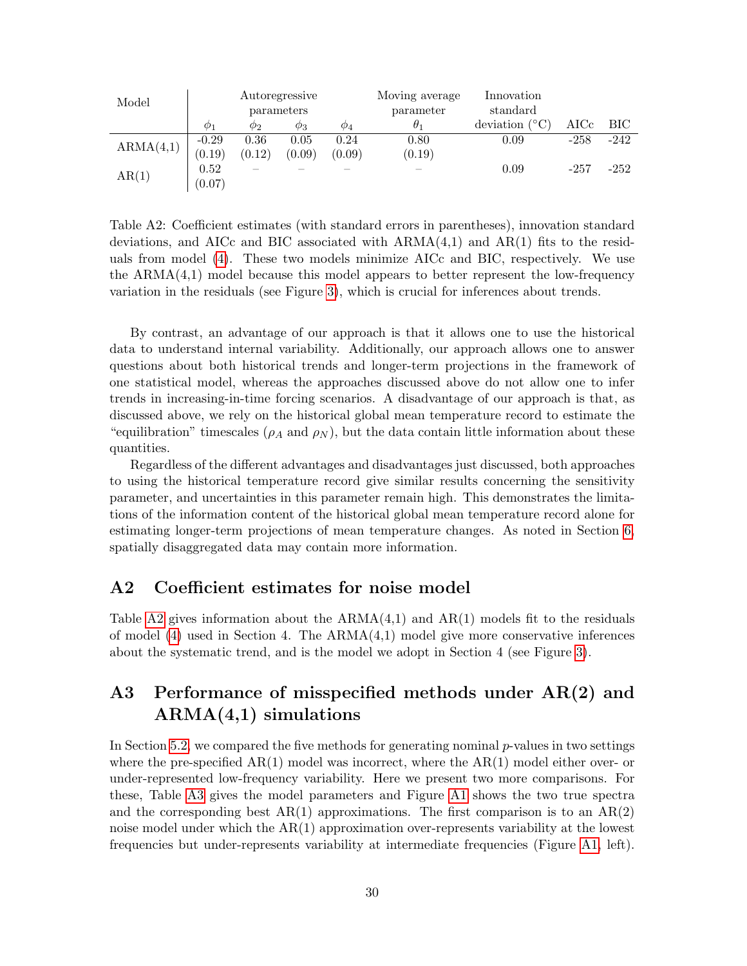| Model     | Autoregressive<br>parameters |             | Moving average<br>parameter | Innovation<br>standard |            |                   |            |        |
|-----------|------------------------------|-------------|-----------------------------|------------------------|------------|-------------------|------------|--------|
|           | $\varphi_1$                  | $\varphi_2$ | $\varphi_3$                 | $\varphi_4$            | $\theta_1$ | (°C)<br>deviation | $\rm AICc$ | BIC -  |
| ARMA(4,1) | $-0.29$                      | 0.36        | 0.05                        | 0.24                   | 0.80       | 0.09              | $-258$     | -242   |
|           | (0.19)                       | (0.12)      | (0.09)                      | (0.09)                 | (0.19)     |                   |            |        |
| AR(1)     | 0.52                         |             |                             |                        |            | 0.09              | $-257$     | $-252$ |
|           | (0.07)                       |             |                             |                        |            |                   |            |        |

Table A2: Coefficient estimates (with standard errors in parentheses), innovation standard deviations, and AICc and BIC associated with  $ARMA(4,1)$  and  $AR(1)$  fits to the residuals from model [\(4\)](#page-8-0). These two models minimize AICc and BIC, respectively. We use the  $ARMA(4,1)$  model because this model appears to better represent the low-frequency variation in the residuals (see Figure [3\)](#page-11-0), which is crucial for inferences about trends.

By contrast, an advantage of our approach is that it allows one to use the historical data to understand internal variability. Additionally, our approach allows one to answer questions about both historical trends and longer-term projections in the framework of one statistical model, whereas the approaches discussed above do not allow one to infer trends in increasing-in-time forcing scenarios. A disadvantage of our approach is that, as discussed above, we rely on the historical global mean temperature record to estimate the "equilibration" timescales ( $\rho_A$  and  $\rho_N$ ), but the data contain little information about these quantities.

Regardless of the different advantages and disadvantages just discussed, both approaches to using the historical temperature record give similar results concerning the sensitivity parameter, and uncertainties in this parameter remain high. This demonstrates the limitations of the information content of the historical global mean temperature record alone for estimating longer-term projections of mean temperature changes. As noted in Section [6,](#page-23-0) spatially disaggregated data may contain more information.

### A2 Coefficient estimates for noise model

Table [A2](#page-16-0) gives information about the  $ARMA(4,1)$  and  $AR(1)$  models fit to the residuals of model  $(4)$  used in Section 4. The  $ARMA(4,1)$  model give more conservative inferences about the systematic trend, and is the model we adopt in Section 4 (see Figure [3\)](#page-11-0).

## A3 Performance of misspecified methods under AR(2) and  $ARMA(4,1)$  simulations

In Section [5.2,](#page-21-0) we compared the five methods for generating nominal  $p$ -values in two settings where the pre-specified  $AR(1)$  model was incorrect, where the  $AR(1)$  model either over- or under-represented low-frequency variability. Here we present two more comparisons. For these, Table [A3](#page-32-1) gives the model parameters and Figure [A1](#page-2-0) shows the two true spectra and the corresponding best  $AR(1)$  approximations. The first comparison is to an  $AR(2)$ noise model under which the AR(1) approximation over-represents variability at the lowest frequencies but under-represents variability at intermediate frequencies (Figure [A1,](#page-2-0) left).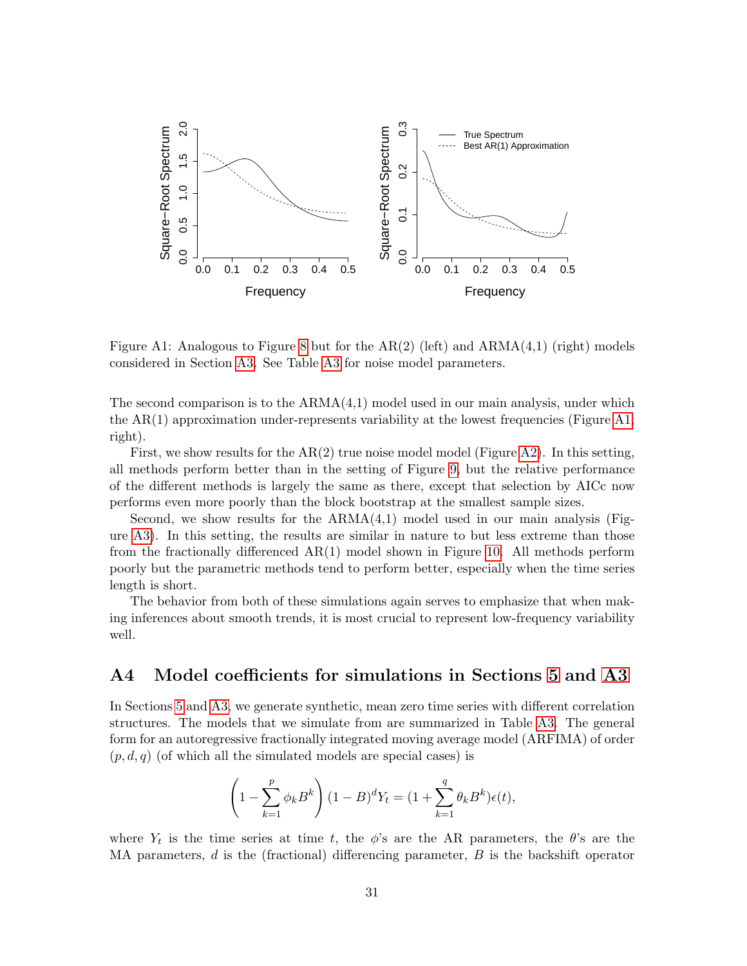

Figure A1: Analogous to Figure [8](#page-23-1) but for the  $AR(2)$  (left) and  $ARMA(4,1)$  (right) models considered in Section [A3.](#page-5-0) See Table [A3](#page-32-1) for noise model parameters.

The second comparison is to the  $ARMA(4,1)$  model used in our main analysis, under which the AR(1) approximation under-represents variability at the lowest frequencies (Figure [A1,](#page-2-0) right).

First, we show results for the  $AR(2)$  true noise model model (Figure [A2\)](#page-10-0). In this setting, all methods perform better than in the setting of Figure [9,](#page-24-0) but the relative performance of the different methods is largely the same as there, except that selection by AICc now performs even more poorly than the block bootstrap at the smallest sample sizes.

Second, we show results for the  $ARMA(4,1)$  model used in our main analysis (Figure [A3\)](#page-11-0). In this setting, the results are similar in nature to but less extreme than those from the fractionally differenced AR(1) model shown in Figure [10.](#page-25-0) All methods perform poorly but the parametric methods tend to perform better, especially when the time series length is short.

The behavior from both of these simulations again serves to emphasize that when making inferences about smooth trends, it is most crucial to represent low-frequency variability well.

### A4 Model coefficients for simulations in Sections [5](#page-19-0) and [A3](#page-5-0)

In Sections [5](#page-19-0) and [A3,](#page-5-0) we generate synthetic, mean zero time series with different correlation structures. The models that we simulate from are summarized in Table [A3.](#page-32-1) The general form for an autoregressive fractionally integrated moving average model (ARFIMA) of order  $(p, d, q)$  (of which all the simulated models are special cases) is

$$
\left(1 - \sum_{k=1}^{p} \phi_k B^k\right) (1 - B)^d Y_t = (1 + \sum_{k=1}^{q} \theta_k B^k) \epsilon(t),
$$

where  $Y_t$  is the time series at time t, the  $\phi$ 's are the AR parameters, the  $\theta$ 's are the MA parameters,  $d$  is the (fractional) differencing parameter,  $B$  is the backshift operator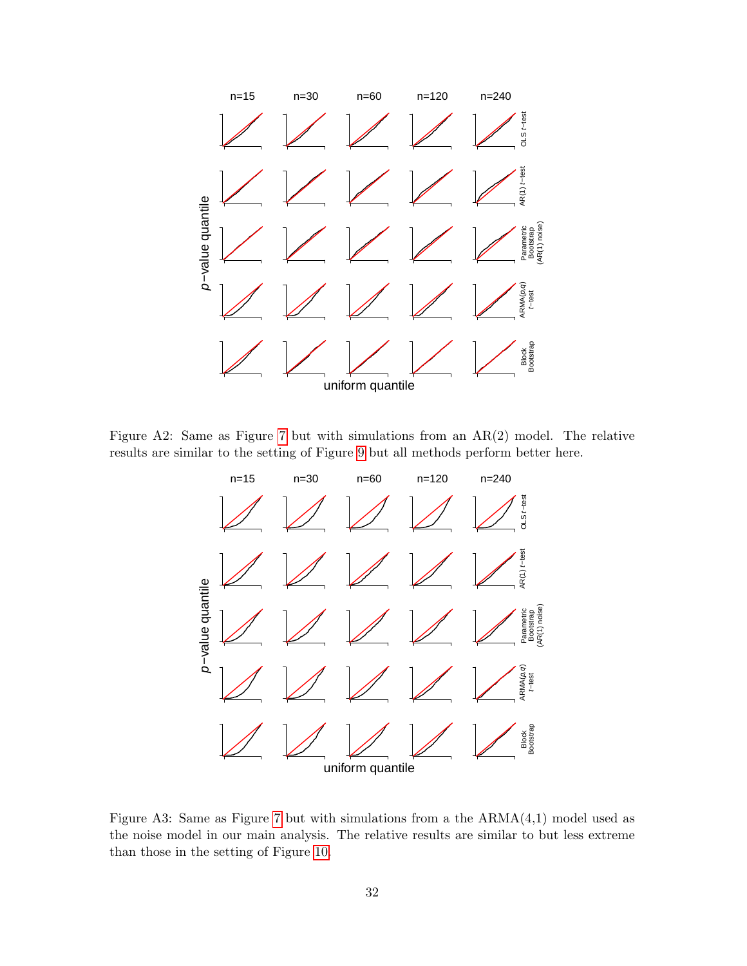

Figure A2: Same as Figure [7](#page-22-0) but with simulations from an AR(2) model. The relative results are similar to the setting of Figure [9](#page-24-0) but all methods perform better here.



Figure A3: Same as Figure [7](#page-22-0) but with simulations from a the  $ARMA(4,1)$  model used as the noise model in our main analysis. The relative results are similar to but less extreme than those in the setting of Figure [10.](#page-25-0)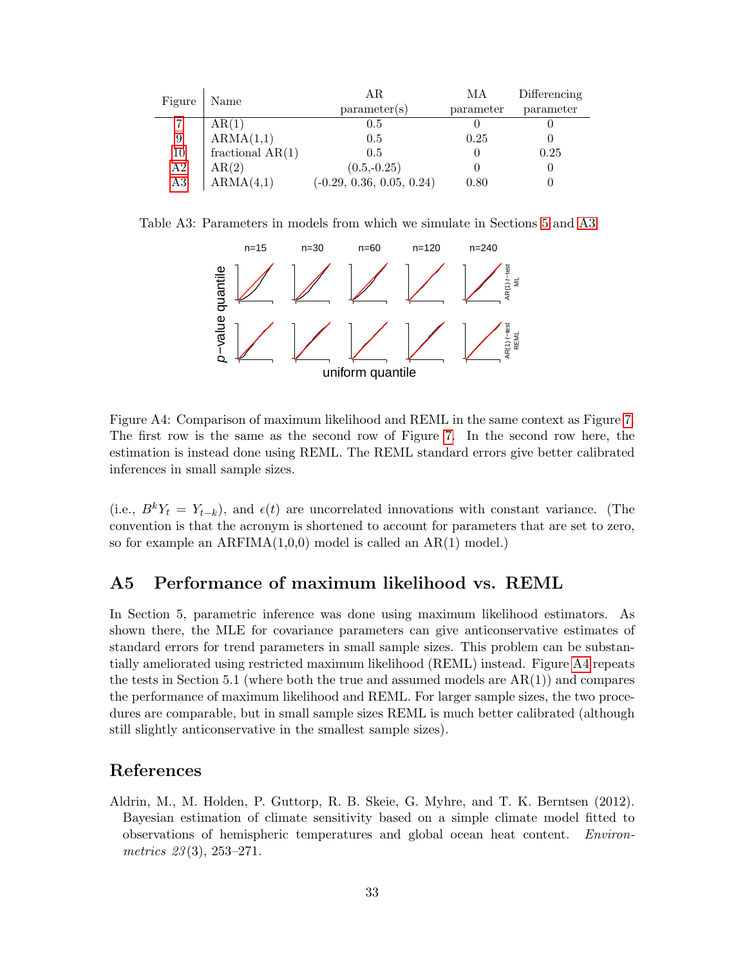| Figure | Name               | ΑR                          | MА        | Differencing |  |
|--------|--------------------|-----------------------------|-----------|--------------|--|
|        |                    | parameter(s)                | parameter | parameter    |  |
|        | AR(1)              | 0.5                         |           |              |  |
| 9      | ARMA(1,1)          | 0.5                         | 0.25      |              |  |
| 10     | fractional $AR(1)$ | 0.5                         |           | 0.25         |  |
| A2     | AR(2)              | $(0.5,-0.25)$               |           |              |  |
| A3     | ARMA(4,1)          | $(-0.29, 0.36, 0.05, 0.24)$ | 0.80      |              |  |

Table A3: Parameters in models from which we simulate in Sections [5](#page-19-0) and [A3.](#page-5-0)

<span id="page-32-1"></span>

Figure A4: Comparison of maximum likelihood and REML in the same context as Figure [7.](#page-22-0) The first row is the same as the second row of Figure [7.](#page-22-0) In the second row here, the estimation is instead done using REML. The REML standard errors give better calibrated inferences in small sample sizes.

(i.e.,  $B^k Y_t = Y_{t-k}$ ), and  $\epsilon(t)$  are uncorrelated innovations with constant variance. (The convention is that the acronym is shortened to account for parameters that are set to zero, so for example an ARFIMA(1,0,0) model is called an AR(1) model.)

### A5 Performance of maximum likelihood vs. REML

In Section 5, parametric inference was done using maximum likelihood estimators. As shown there, the MLE for covariance parameters can give anticonservative estimates of standard errors for trend parameters in small sample sizes. This problem can be substantially ameliorated using restricted maximum likelihood (REML) instead. Figure [A4](#page-12-0) repeats the tests in Section 5.1 (where both the true and assumed models are  $AR(1)$ ) and compares the performance of maximum likelihood and REML. For larger sample sizes, the two procedures are comparable, but in small sample sizes REML is much better calibrated (although still slightly anticonservative in the smallest sample sizes).

### References

<span id="page-32-0"></span>Aldrin, M., M. Holden, P. Guttorp, R. B. Skeie, G. Myhre, and T. K. Berntsen (2012). Bayesian estimation of climate sensitivity based on a simple climate model fitted to observations of hemispheric temperatures and global ocean heat content. Environmetrics  $23(3)$ ,  $253-271$ .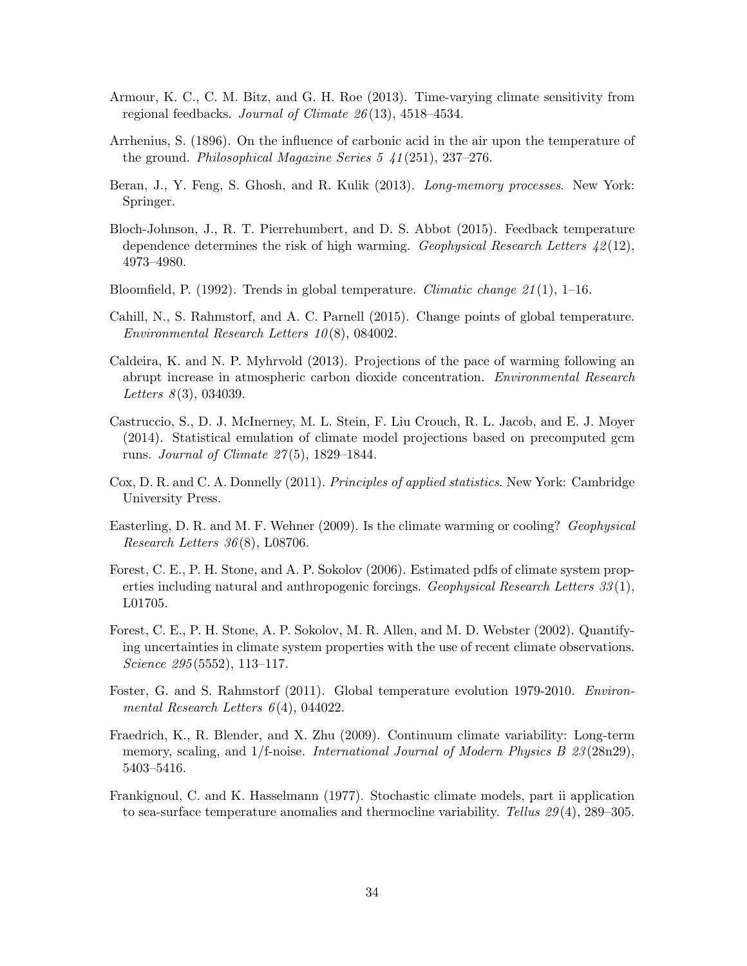- <span id="page-33-14"></span>Armour, K. C., C. M. Bitz, and G. H. Roe (2013). Time-varying climate sensitivity from regional feedbacks. Journal of Climate 26 (13), 4518–4534.
- <span id="page-33-5"></span>Arrhenius, S. (1896). On the influence of carbonic acid in the air upon the temperature of the ground. Philosophical Magazine Series  $5\ \text{\textsterling}1(251)$ , 237–276.
- <span id="page-33-10"></span>Beran, J., Y. Feng, S. Ghosh, and R. Kulik (2013). *Long-memory processes*. New York: Springer.
- <span id="page-33-9"></span>Bloch-Johnson, J., R. T. Pierrehumbert, and D. S. Abbot (2015). Feedback temperature dependence determines the risk of high warming. Geophysical Research Letters  $\mathcal{L}(12)$ , 4973–4980.
- <span id="page-33-2"></span>Bloomfield, P. (1992). Trends in global temperature. *Climatic change*  $21(1)$ , 1–16.
- <span id="page-33-4"></span>Cahill, N., S. Rahmstorf, and A. C. Parnell (2015). Change points of global temperature. Environmental Research Letters 10 (8), 084002.
- <span id="page-33-7"></span>Caldeira, K. and N. P. Myhrvold (2013). Projections of the pace of warming following an abrupt increase in atmospheric carbon dioxide concentration. Environmental Research Letters  $8(3)$ , 034039.
- <span id="page-33-8"></span>Castruccio, S., D. J. McInerney, M. L. Stein, F. Liu Crouch, R. L. Jacob, and E. J. Moyer (2014). Statistical emulation of climate model projections based on precomputed gcm runs. Journal of Climate  $27(5)$ , 1829–1844.
- <span id="page-33-13"></span>Cox, D. R. and C. A. Donnelly (2011). Principles of applied statistics. New York: Cambridge University Press.
- <span id="page-33-6"></span>Easterling, D. R. and M. F. Wehner (2009). Is the climate warming or cooling? Geophysical Research Letters  $36(8)$ , L08706.
- <span id="page-33-1"></span>Forest, C. E., P. H. Stone, and A. P. Sokolov (2006). Estimated pdfs of climate system properties including natural and anthropogenic forcings. Geophysical Research Letters 33 (1), L01705.
- <span id="page-33-0"></span>Forest, C. E., P. H. Stone, A. P. Sokolov, M. R. Allen, and M. D. Webster (2002). Quantifying uncertainties in climate system properties with the use of recent climate observations. Science 295 (5552), 113–117.
- <span id="page-33-3"></span>Foster, G. and S. Rahmstorf (2011). Global temperature evolution 1979-2010. Environmental Research Letters  $6(4)$ , 044022.
- <span id="page-33-12"></span>Fraedrich, K., R. Blender, and X. Zhu (2009). Continuum climate variability: Long-term memory, scaling, and 1/f-noise. *International Journal of Modern Physics B 23* (28n29), 5403–5416.
- <span id="page-33-11"></span>Frankignoul, C. and K. Hasselmann (1977). Stochastic climate models, part ii application to sea-surface temperature anomalies and thermocline variability. Tellus 29 (4), 289–305.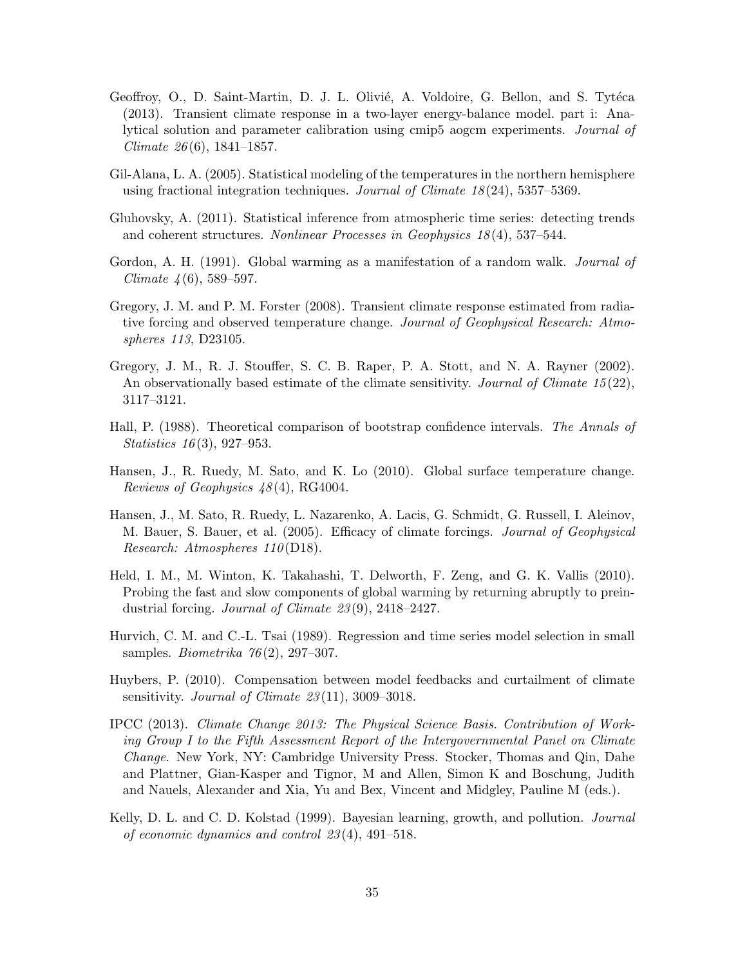- <span id="page-34-7"></span>Geoffroy, O., D. Saint-Martin, D. J. L. Olivié, A. Voldoire, G. Bellon, and S. Tytéca (2013). Transient climate response in a two-layer energy-balance model. part i: Analytical solution and parameter calibration using cmip5 aogcm experiments. Journal of Climate  $26(6)$ , 1841–1857.
- <span id="page-34-12"></span>Gil-Alana, L. A. (2005). Statistical modeling of the temperatures in the northern hemisphere using fractional integration techniques. Journal of Climate 18 (24), 5357–5369.
- <span id="page-34-3"></span>Gluhovsky, A. (2011). Statistical inference from atmospheric time series: detecting trends and coherent structures. Nonlinear Processes in Geophysics  $18(4)$ , 537–544.
- <span id="page-34-13"></span>Gordon, A. H. (1991). Global warming as a manifestation of a random walk. *Journal of* Climate  $4(6)$ , 589–597.
- <span id="page-34-2"></span>Gregory, J. M. and P. M. Forster (2008). Transient climate response estimated from radiative forcing and observed temperature change. Journal of Geophysical Research: Atmospheres 113, D23105.
- <span id="page-34-1"></span>Gregory, J. M., R. J. Stouffer, S. C. B. Raper, P. A. Stott, and N. A. Rayner (2002). An observationally based estimate of the climate sensitivity. Journal of Climate  $15(22)$ , 3117–3121.
- <span id="page-34-10"></span>Hall, P. (1988). Theoretical comparison of bootstrap confidence intervals. The Annals of Statistics 16 (3), 927–953.
- <span id="page-34-4"></span>Hansen, J., R. Ruedy, M. Sato, and K. Lo (2010). Global surface temperature change. Reviews of Geophysics  $48(4)$ , RG4004.
- <span id="page-34-8"></span>Hansen, J., M. Sato, R. Ruedy, L. Nazarenko, A. Lacis, G. Schmidt, G. Russell, I. Aleinov, M. Bauer, S. Bauer, et al. (2005). Efficacy of climate forcings. Journal of Geophysical Research: Atmospheres 110(D18).
- <span id="page-34-6"></span>Held, I. M., M. Winton, K. Takahashi, T. Delworth, F. Zeng, and G. K. Vallis (2010). Probing the fast and slow components of global warming by returning abruptly to preindustrial forcing. Journal of Climate 23 (9), 2418–2427.
- <span id="page-34-9"></span>Hurvich, C. M. and C.-L. Tsai (1989). Regression and time series model selection in small samples. *Biometrika*  $76(2)$ , 297–307.
- <span id="page-34-5"></span>Huybers, P. (2010). Compensation between model feedbacks and curtailment of climate sensitivity. Journal of Climate  $23(11)$ , 3009–3018.
- <span id="page-34-0"></span>IPCC (2013). Climate Change 2013: The Physical Science Basis. Contribution of Working Group I to the Fifth Assessment Report of the Intergovernmental Panel on Climate Change. New York, NY: Cambridge University Press. Stocker, Thomas and Qin, Dahe and Plattner, Gian-Kasper and Tignor, M and Allen, Simon K and Boschung, Judith and Nauels, Alexander and Xia, Yu and Bex, Vincent and Midgley, Pauline M (eds.).
- <span id="page-34-11"></span>Kelly, D. L. and C. D. Kolstad (1999). Bayesian learning, growth, and pollution. *Journal* of economic dynamics and control 23 (4), 491–518.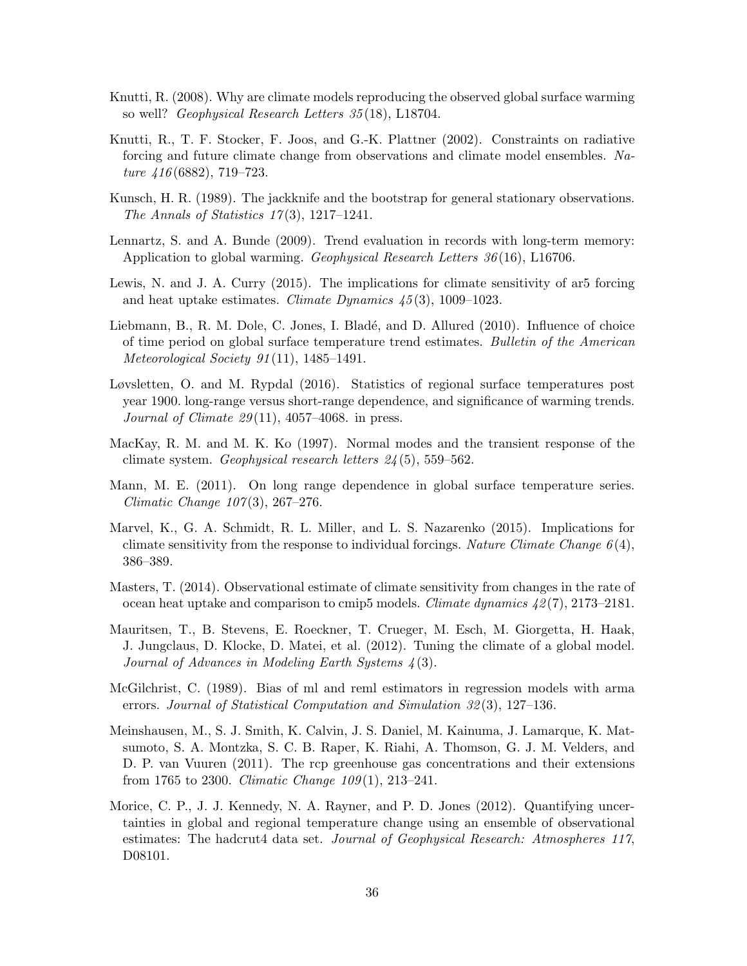- <span id="page-35-6"></span>Knutti, R. (2008). Why are climate models reproducing the observed global surface warming so well? Geophysical Research Letters 35 (18), L18704.
- <span id="page-35-0"></span>Knutti, R., T. F. Stocker, F. Joos, and G.-K. Plattner (2002). Constraints on radiative forcing and future climate change from observations and climate model ensembles. Nature 416 (6882), 719–723.
- <span id="page-35-13"></span>Kunsch, H. R. (1989). The jackknife and the bootstrap for general stationary observations. The Annals of Statistics  $17(3)$ , 1217–1241.
- <span id="page-35-11"></span>Lennartz, S. and A. Bunde (2009). Trend evaluation in records with long-term memory: Application to global warming. Geophysical Research Letters 36 (16), L16706.
- <span id="page-35-2"></span>Lewis, N. and J. A. Curry (2015). The implications for climate sensitivity of ar5 forcing and heat uptake estimates. Climate Dynamics  $\frac{45(3)}{1009-1023}$ .
- <span id="page-35-10"></span>Liebmann, B., R. M. Dole, C. Jones, I. Bladé, and D. Allured (2010). Influence of choice of time period on global surface temperature trend estimates. Bulletin of the American Meteorological Society 91 (11), 1485–1491.
- <span id="page-35-3"></span>Løvsletten, O. and M. Rypdal (2016). Statistics of regional surface temperatures post year 1900. long-range versus short-range dependence, and significance of warming trends. Journal of Climate  $29(11)$ , 4057-4068. in press.
- <span id="page-35-8"></span>MacKay, R. M. and M. K. Ko (1997). Normal modes and the transient response of the climate system. Geophysical research letters 24 (5), 559–562.
- <span id="page-35-12"></span>Mann, M. E. (2011). On long range dependence in global surface temperature series. Climatic Change 107(3), 267-276.
- <span id="page-35-9"></span>Marvel, K., G. A. Schmidt, R. L. Miller, and L. S. Nazarenko (2015). Implications for climate sensitivity from the response to individual forcings. Nature Climate Change  $6(4)$ , 386–389.
- <span id="page-35-1"></span>Masters, T. (2014). Observational estimate of climate sensitivity from changes in the rate of ocean heat uptake and comparison to cmip5 models. *Climate dynamics*  $42(7)$ , 2173–2181.
- <span id="page-35-7"></span>Mauritsen, T., B. Stevens, E. Roeckner, T. Crueger, M. Esch, M. Giorgetta, H. Haak, J. Jungclaus, D. Klocke, D. Matei, et al. (2012). Tuning the climate of a global model. Journal of Advances in Modeling Earth Systems  $\frac{1}{4}(3)$ .
- <span id="page-35-14"></span>McGilchrist, C. (1989). Bias of ml and reml estimators in regression models with arma errors. Journal of Statistical Computation and Simulation 32 (3), 127–136.
- <span id="page-35-5"></span>Meinshausen, M., S. J. Smith, K. Calvin, J. S. Daniel, M. Kainuma, J. Lamarque, K. Matsumoto, S. A. Montzka, S. C. B. Raper, K. Riahi, A. Thomson, G. J. M. Velders, and D. P. van Vuuren (2011). The rcp greenhouse gas concentrations and their extensions from 1765 to 2300. Climatic Change  $109(1)$ , 213–241.
- <span id="page-35-4"></span>Morice, C. P., J. J. Kennedy, N. A. Rayner, and P. D. Jones (2012). Quantifying uncertainties in global and regional temperature change using an ensemble of observational estimates: The hadcrut4 data set. Journal of Geophysical Research: Atmospheres 117, D08101.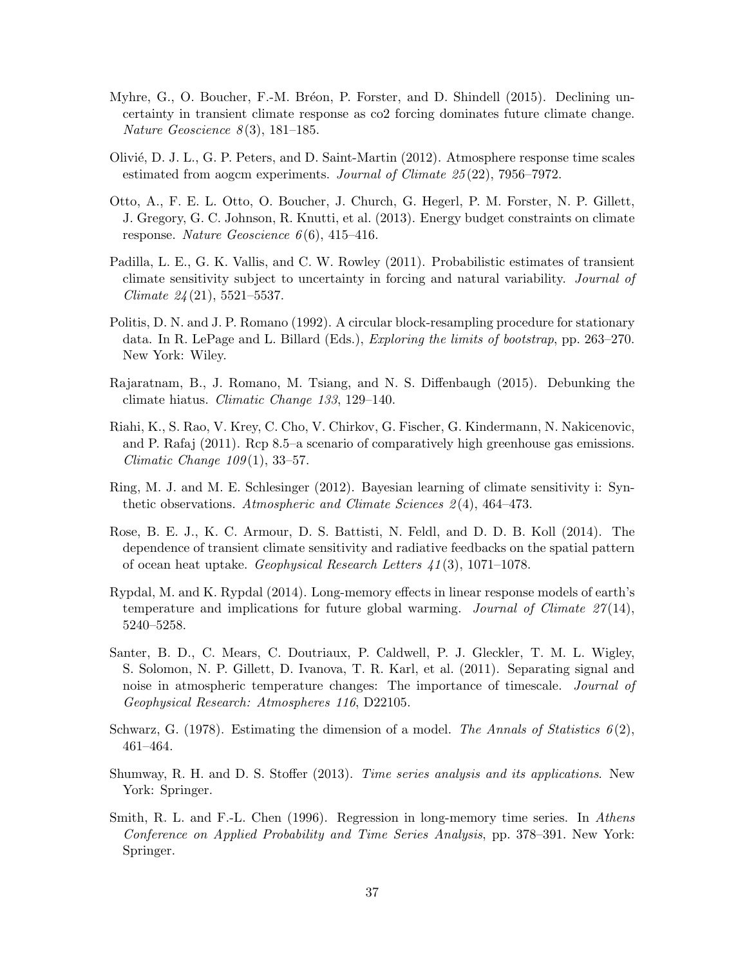- <span id="page-36-10"></span>Myhre, G., O. Boucher, F.-M. Bréon, P. Forster, and D. Shindell (2015). Declining uncertainty in transient climate response as co2 forcing dominates future climate change. Nature Geoscience  $8(3)$ , 181–185.
- <span id="page-36-7"></span>Olivi´e, D. J. L., G. P. Peters, and D. Saint-Martin (2012). Atmosphere response time scales estimated from aogcm experiments. Journal of Climate 25 (22), 7956–7972.
- <span id="page-36-1"></span>Otto, A., F. E. L. Otto, O. Boucher, J. Church, G. Hegerl, P. M. Forster, N. P. Gillett, J. Gregory, G. C. Johnson, R. Knutti, et al. (2013). Energy budget constraints on climate response. Nature Geoscience  $6(6)$ , 415–416.
- <span id="page-36-0"></span>Padilla, L. E., G. K. Vallis, and C. W. Rowley (2011). Probabilistic estimates of transient climate sensitivity subject to uncertainty in forcing and natural variability. Journal of Climate 24 (21), 5521–5537.
- <span id="page-36-12"></span>Politis, D. N. and J. P. Romano (1992). A circular block-resampling procedure for stationary data. In R. LePage and L. Billard (Eds.), Exploring the limits of bootstrap, pp. 263–270. New York: Wiley.
- <span id="page-36-4"></span>Rajaratnam, B., J. Romano, M. Tsiang, and N. S. Diffenbaugh (2015). Debunking the climate hiatus. Climatic Change 133, 129–140.
- <span id="page-36-5"></span>Riahi, K., S. Rao, V. Krey, C. Cho, V. Chirkov, G. Fischer, G. Kindermann, N. Nakicenovic, and P. Rafaj (2011). Rcp 8.5–a scenario of comparatively high greenhouse gas emissions. Climatic Change  $109(1)$ , 33-57.
- <span id="page-36-9"></span>Ring, M. J. and M. E. Schlesinger (2012). Bayesian learning of climate sensitivity i: Synthetic observations. Atmospheric and Climate Sciences 2(4), 464–473.
- <span id="page-36-13"></span>Rose, B. E. J., K. C. Armour, D. S. Battisti, N. Feldl, and D. D. B. Koll (2014). The dependence of transient climate sensitivity and radiative feedbacks on the spatial pattern of ocean heat uptake. Geophysical Research Letters  $\angle 41(3)$ , 1071–1078.
- <span id="page-36-2"></span>Rypdal, M. and K. Rypdal (2014). Long-memory effects in linear response models of earth's temperature and implications for future global warming. Journal of Climate  $27(14)$ , 5240–5258.
- <span id="page-36-6"></span>Santer, B. D., C. Mears, C. Doutriaux, P. Caldwell, P. J. Gleckler, T. M. L. Wigley, S. Solomon, N. P. Gillett, D. Ivanova, T. R. Karl, et al. (2011). Separating signal and noise in atmospheric temperature changes: The importance of timescale. Journal of Geophysical Research: Atmospheres 116, D22105.
- <span id="page-36-8"></span>Schwarz, G. (1978). Estimating the dimension of a model. The Annals of Statistics  $6(2)$ , 461–464.
- <span id="page-36-11"></span>Shumway, R. H. and D. S. Stoffer (2013). Time series analysis and its applications. New York: Springer.
- <span id="page-36-3"></span>Smith, R. L. and F.-L. Chen (1996). Regression in long-memory time series. In Athens Conference on Applied Probability and Time Series Analysis, pp. 378–391. New York: Springer.